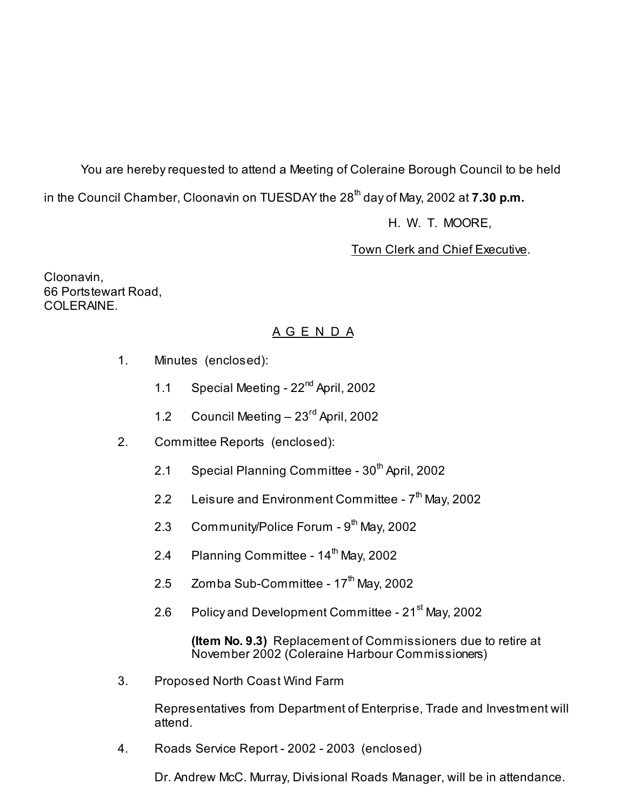You are hereby requested to attend a Meeting of Coleraine Borough Council to be held in the Council Chamber, Cloonavin on TUESDAY the 28<sup>th</sup> day of May, 2002 at **7.30 p.m.** 

H. W. T. MOORE,

Town Clerk and Chief Executive.

Cloonavin, 66 Portstewart Road, COLERAINE.

## A G E N D A

- 1. Minutes (enclosed):
	- 1.1 Special Meeting 22<sup>nd</sup> April, 2002
	- 1.2 Council Meeting 23<sup>rd</sup> April, 2002
- 2. Committee Reports (enclosed):
	- 2.1 Special Planning Committee  $30<sup>th</sup>$  April, 2002
	- 2.2 Leisure and Environment Committee  $7<sup>th</sup>$  May, 2002
	- 2.3 Community/Police Forum  $9<sup>th</sup>$  May, 2002
	- 2.4 Planning Committee  $14<sup>th</sup>$  May, 2002
	- 2.5 Zomba Sub-Committee  $17<sup>th</sup>$  May, 2002
	- 2.6 Policy and Development Committee 21<sup>st</sup> May, 2002

 **(Item No. 9.3)** Replacement of Commissioners due to retire at November 2002 (Coleraine Harbour Commissioners)

3. Proposed North Coast Wind Farm

 Representatives from Department of Enterprise, Trade and Investment will attend.

4. Roads Service Report - 2002 - 2003 (enclosed)

Dr. Andrew McC. Murray, Divisional Roads Manager, will be in attendance.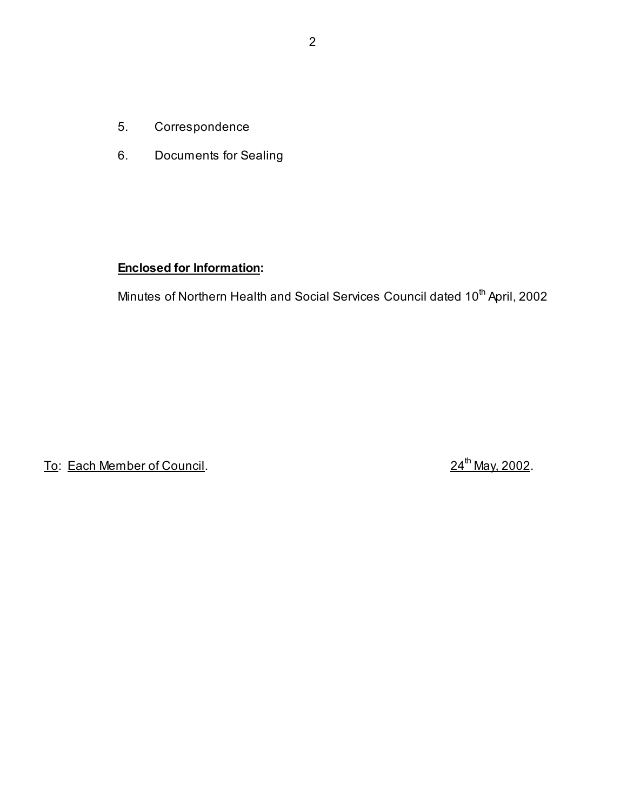- 5. Correspondence
- 6. Documents for Sealing

## **Enclosed for Information:**

Minutes of Northern Health and Social Services Council dated 10<sup>th</sup> April, 2002

To: Each Member of Council. 24<sup>th</sup> May, 2002.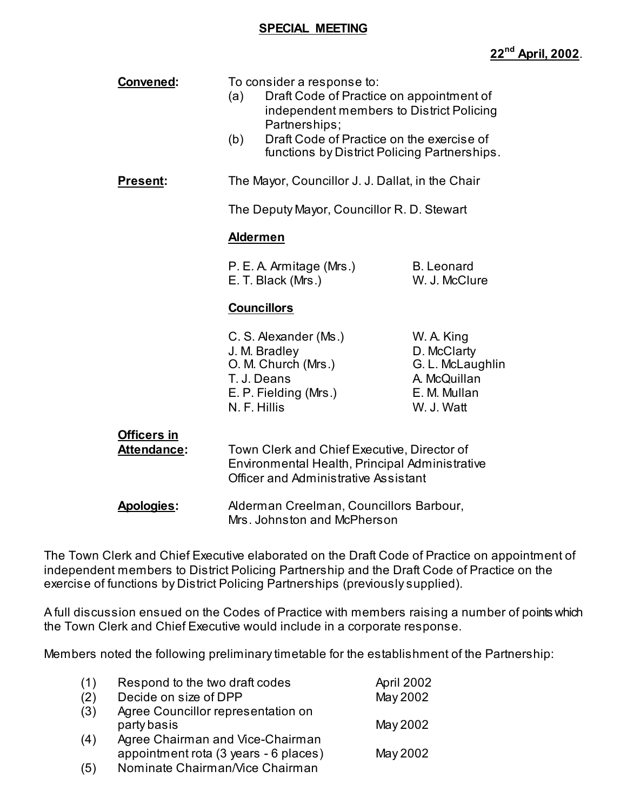#### **SPECIAL MEETING**

| Convened:                                | (a)<br>(b) | To consider a response to:<br>Draft Code of Practice on appointment of<br>independent members to District Policing<br>Partnerships;<br>Draft Code of Practice on the exercise of<br>functions by District Policing Partnerships. |                                                                                             |
|------------------------------------------|------------|----------------------------------------------------------------------------------------------------------------------------------------------------------------------------------------------------------------------------------|---------------------------------------------------------------------------------------------|
| <b>Present:</b>                          |            | The Mayor, Councillor J. J. Dallat, in the Chair                                                                                                                                                                                 |                                                                                             |
|                                          |            | The Deputy Mayor, Councillor R. D. Stewart                                                                                                                                                                                       |                                                                                             |
|                                          |            | <b>Aldermen</b>                                                                                                                                                                                                                  |                                                                                             |
|                                          |            | P. E. A. Armitage (Mrs.)<br>E. T. Black (Mrs.)                                                                                                                                                                                   | <b>B.</b> Leonard<br>W. J. McClure                                                          |
|                                          |            | <b>Councillors</b>                                                                                                                                                                                                               |                                                                                             |
|                                          |            | C. S. Alexander (Ms.)<br>J. M. Bradley<br>O. M. Church (Mrs.)<br>T. J. Deans<br>E. P. Fielding (Mrs.)<br>N. F. Hillis                                                                                                            | W. A. King<br>D. McClarty<br>G. L. McLaughlin<br>A. McQuillan<br>E. M. Mullan<br>W. J. Watt |
| <b>Officers in</b><br><b>Attendance:</b> |            | Town Clerk and Chief Executive, Director of<br>Environmental Health, Principal Administrative<br><b>Officer and Administrative Assistant</b>                                                                                     |                                                                                             |
| Apologies:                               |            | Alderman Creelman, Councillors Barbour,<br>Mrs. Johnston and McPherson                                                                                                                                                           |                                                                                             |

The Town Clerk and Chief Executive elaborated on the Draft Code of Practice on appointment of independent members to District Policing Partnership and the Draft Code of Practice on the exercise of functions by District Policing Partnerships (previously supplied).

A full discussion ensued on the Codes of Practice with members raising a number of points which the Town Clerk and Chief Executive would include in a corporate response.

Members noted the following preliminary timetable for the establishment of the Partnership:

| (1) | Respond to the two draft codes        | April 2002 |
|-----|---------------------------------------|------------|
| (2) | Decide on size of DPP                 | May 2002   |
| (3) | Agree Councillor representation on    |            |
|     | party basis                           | May 2002   |
| (4) | Agree Chairman and Vice-Chairman      |            |
|     | appointment rota (3 years - 6 places) | May 2002   |
| (5) | Nominate Chairman/Vice Chairman       |            |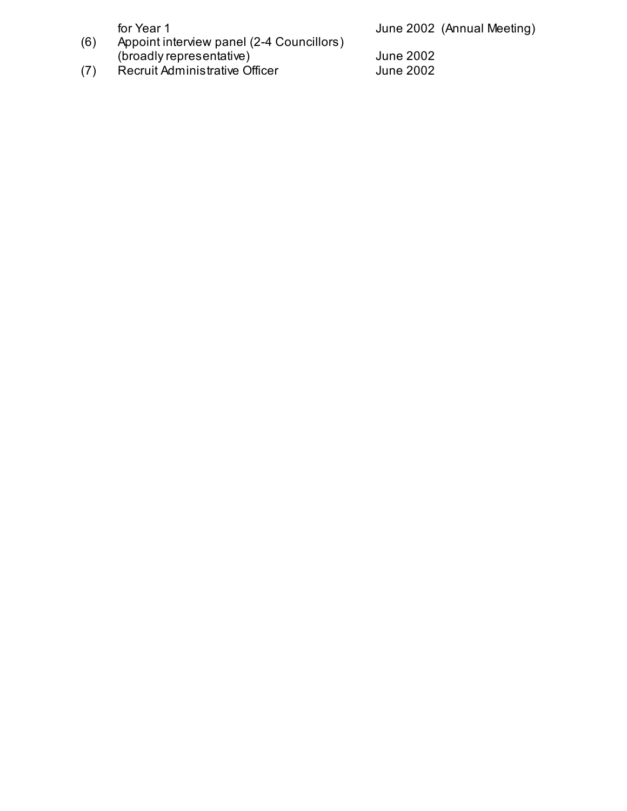for Year 1 **June 2002** (Annual Meeting)

- (6) Appoint interview panel (2-4 Councillors) (broadly representative) June 2002
- (7) Recruit Administrative Officer General Aume 2002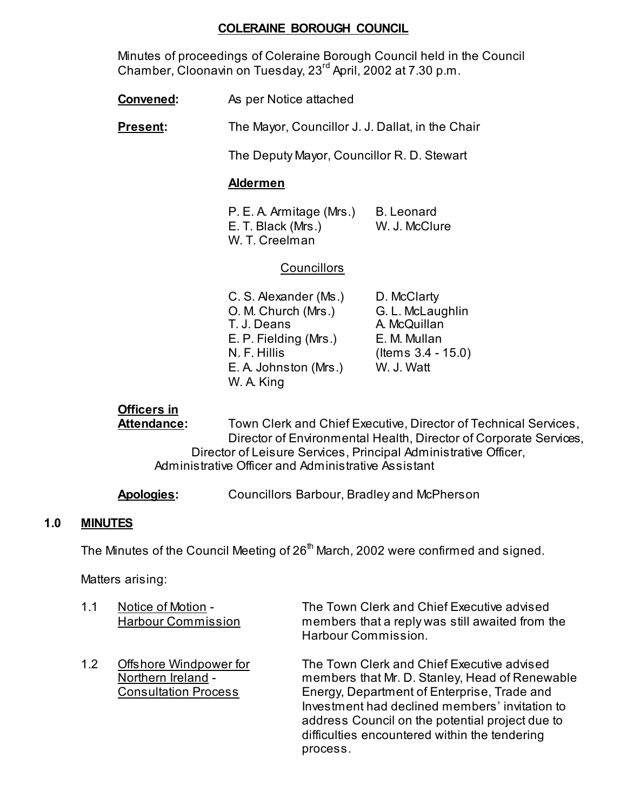## **COLERAINE BOROUGH COUNCIL**

 Minutes of proceedings of Coleraine Borough Council held in the Council Chamber, Cloonavin on Tuesday, 23rd April, 2002 at 7.30 p.m.

- **Convened:** As per Notice attached
- **Present:** The Mayor, Councillor J. J. Dallat, in the Chair

The Deputy Mayor, Councillor R. D. Stewart

## **Aldermen**

P. E. A. Armitage (Mrs.) B. Leonard E. T. Black (Mrs.) W. J. McClure W. T. Creelman

## **Councillors**

| C. S. Alexander (Ms.) | D. McClarty           |
|-----------------------|-----------------------|
| O. M. Church (Mrs.)   | G. L. McLaughlin      |
| T. J. Deans           | A. McQuillan          |
| E. P. Fielding (Mrs.) | E. M. Mullan          |
| N. F. Hillis          | (Items $3.4 - 15.0$ ) |
| E. A. Johnston (Mrs.) | W. J. Watt            |
| W. A. King            |                       |

## **Officers in**

Attendance: Town Clerk and Chief Executive, Director of Technical Services, Director of Environmental Health, Director of Corporate Services, Director of Leisure Services, Principal Administrative Officer, Administrative Officer and Administrative Assistant

**Apologies:** Councillors Barbour, Bradley and McPherson

## **1.0 MINUTES**

The Minutes of the Council Meeting of 26<sup>th</sup> March, 2002 were confirmed and signed.

Matters arising:

| 1.1 | Notice of Motion -<br><b>Harbour Commission</b>                             | The Town Clerk and Chief Executive advised<br>members that a reply was still awaited from the<br>Harbour Commission.                                                                                                                                                                                          |
|-----|-----------------------------------------------------------------------------|---------------------------------------------------------------------------------------------------------------------------------------------------------------------------------------------------------------------------------------------------------------------------------------------------------------|
| 1.2 | Offshore Windpower for<br>Northern Ireland -<br><b>Consultation Process</b> | The Town Clerk and Chief Executive advised<br>members that Mr. D. Stanley, Head of Renewable<br>Energy, Department of Enterprise, Trade and<br>Investment had declined members' invitation to<br>address Council on the potential project due to<br>difficulties encountered within the tendering<br>process. |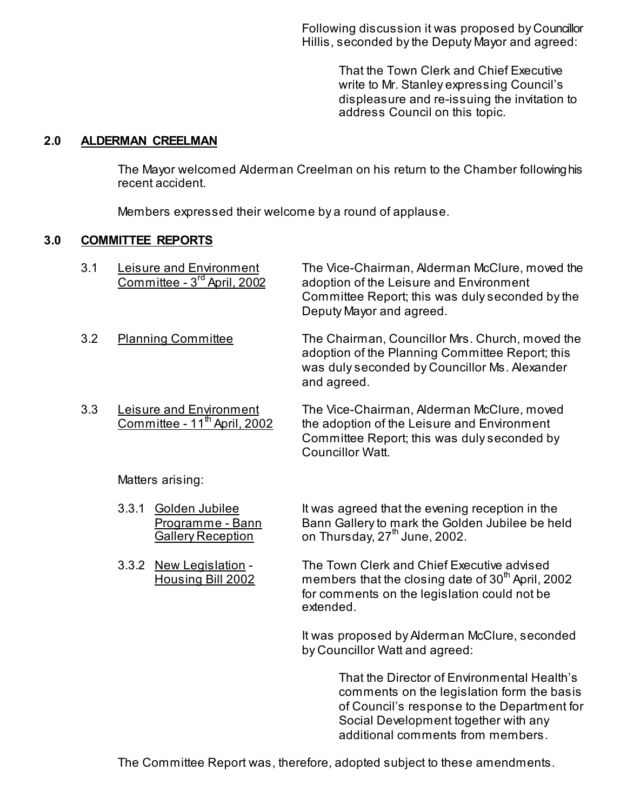Following discussion it was proposed by Councillor Hillis, seconded by the Deputy Mayor and agreed:

> That the Town Clerk and Chief Executive write to Mr. Stanley expressing Council's displeasure and re-issuing the invitation to address Council on this topic.

## **2.0 ALDERMAN CREELMAN**

 The Mayor welcomed Alderman Creelman on his return to the Chamber following his recent accident.

Members expressed their welcome by a round of applause.

## **3.0 COMMITTEE REPORTS**

| 3.1 | Leisure and Environment<br>Committee - 3 <sup>rd</sup> April, 2002  | The Vice-Chairman, Alderman McClure, moved the<br>adoption of the Leisure and Environment<br>Committee Report; this was duly seconded by the<br>Deputy Mayor and agreed. |
|-----|---------------------------------------------------------------------|--------------------------------------------------------------------------------------------------------------------------------------------------------------------------|
| 3.2 | <b>Planning Committee</b>                                           | The Chairman, Councillor Mrs. Church, moved the<br>adoption of the Planning Committee Report; this<br>was duly seconded by Councillor Ms. Alexander<br>and agreed.       |
| 3.3 | Leisure and Environment<br>Committee - 11 <sup>th</sup> April, 2002 | The Vice-Chairman, Alderman McClure, moved<br>the adoption of the Leisure and Environment                                                                                |

 Committee Report; this was duly seconded by Councillor Watt.

Matters arising:

- 3.3.1 Golden Jubilee It was agreed that the evening reception in the Programme - Bann Bann Gallery to mark the Golden Jubilee be held Gallery Reception on Thursday, 27<sup>th</sup> June, 2002.
- 3.3.2 New Legislation The Town Clerk and Chief Executive advised  $\overline{H}$  Housing Bill 2002 members that the closing date of 30<sup>th</sup> April, 2002 for comments on the legislation could not be extended.

It was proposed by Alderman McClure, seconded by Councillor Watt and agreed:

> That the Director of Environmental Health's comments on the legislation form the basis of Council's response to the Department for Social Development together with any additional comments from members.

The Committee Report was, therefore, adopted subject to these amendments.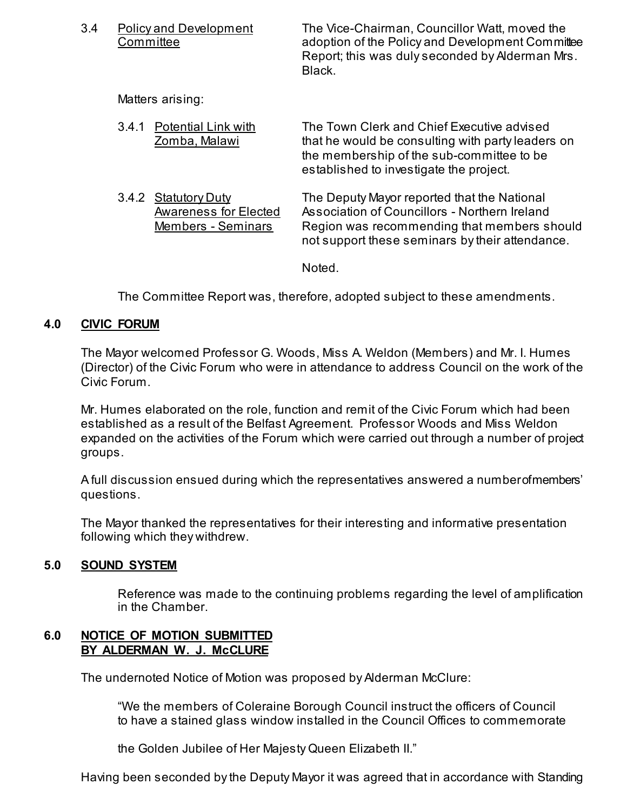| 3.4 |       | <b>Policy and Development</b><br><b>Committee</b>                           | The Vice-Chairman, Councillor Watt, moved the<br>adoption of the Policy and Development Committee<br>Report; this was duly seconded by Alderman Mrs.<br>Black.                                 |
|-----|-------|-----------------------------------------------------------------------------|------------------------------------------------------------------------------------------------------------------------------------------------------------------------------------------------|
|     |       | Matters arising:                                                            |                                                                                                                                                                                                |
|     | 3.4.1 | <b>Potential Link with</b><br>Zomba, Malawi                                 | The Town Clerk and Chief Executive advised<br>that he would be consulting with party leaders on<br>the membership of the sub-committee to be<br>established to investigate the project.        |
|     | 3.4.2 | <b>Statutory Duty</b><br><b>Awareness for Elected</b><br>Members - Seminars | The Deputy Mayor reported that the National<br>Association of Councillors - Northern Ireland<br>Region was recommending that members should<br>not support these seminars by their attendance. |
|     |       |                                                                             | Noted.                                                                                                                                                                                         |

The Committee Report was, therefore, adopted subject to these amendments.

## **4.0 CIVIC FORUM**

The Mayor welcomed Professor G. Woods, Miss A. Weldon (Members) and Mr. I. Humes (Director) of the Civic Forum who were in attendance to address Council on the work of the Civic Forum.

Mr. Humes elaborated on the role, function and remit of the Civic Forum which had been established as a result of the Belfast Agreement. Professor Woods and Miss Weldon expanded on the activities of the Forum which were carried out through a number of project groups.

A full discussion ensued during which the representatives answered a number of members' questions.

The Mayor thanked the representatives for their interesting and informative presentation following which they withdrew.

## **5.0 SOUND SYSTEM**

Reference was made to the continuing problems regarding the level of amplification in the Chamber.

## **6.0 NOTICE OF MOTION SUBMITTED BY ALDERMAN W. J. McCLURE**

The undernoted Notice of Motion was proposed by Alderman McClure:

 "We the members of Coleraine Borough Council instruct the officers of Council to have a stained glass window installed in the Council Offices to commemorate

the Golden Jubilee of Her Majesty Queen Elizabeth II."

Having been seconded by the Deputy Mayor it was agreed that in accordance with Standing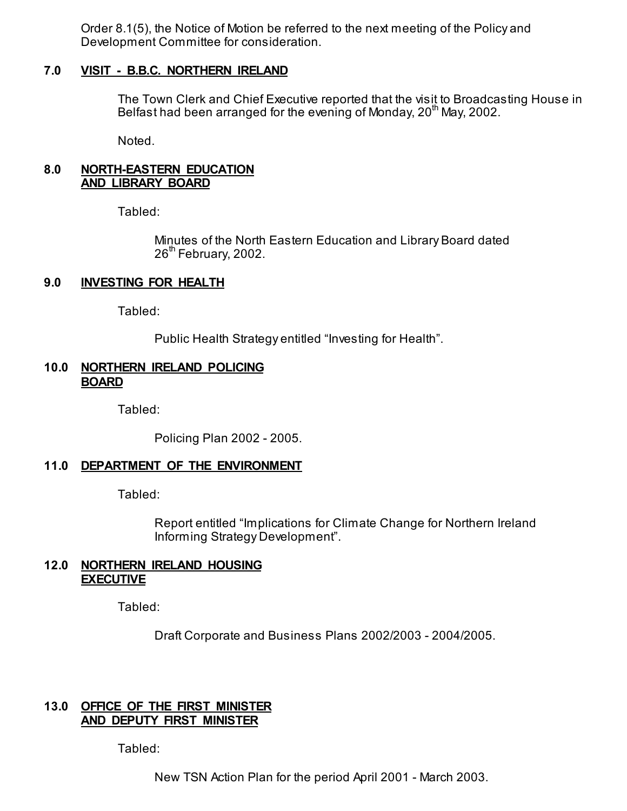Order 8.1(5), the Notice of Motion be referred to the next meeting of the Policy and Development Committee for consideration.

#### **7.0 VISIT - B.B.C. NORTHERN IRELAND**

The Town Clerk and Chief Executive reported that the visit to Broadcasting House in Belfast had been arranged for the evening of Monday,  $20^{th}$  May, 2002.

Noted.

#### **8.0 NORTH-EASTERN EDUCATION AND LIBRARY BOARD**

Tabled:

 Minutes of the North Eastern Education and Library Board dated  $26<sup>th</sup>$  February, 2002.

## **9.0 INVESTING FOR HEALTH**

Tabled:

Public Health Strategy entitled "Investing for Health".

#### **10.0 NORTHERN IRELAND POLICING BOARD**

Tabled:

Policing Plan 2002 - 2005.

#### **11.0 DEPARTMENT OF THE ENVIRONMENT**

Tabled:

 Report entitled "Implications for Climate Change for Northern Ireland Informing Strategy Development".

#### **12.0 NORTHERN IRELAND HOUSING EXECUTIVE**

Tabled:

Draft Corporate and Business Plans 2002/2003 - 2004/2005.

## **13.0 OFFICE OF THE FIRST MINISTER AND DEPUTY FIRST MINISTER**

Tabled:

New TSN Action Plan for the period April 2001 - March 2003.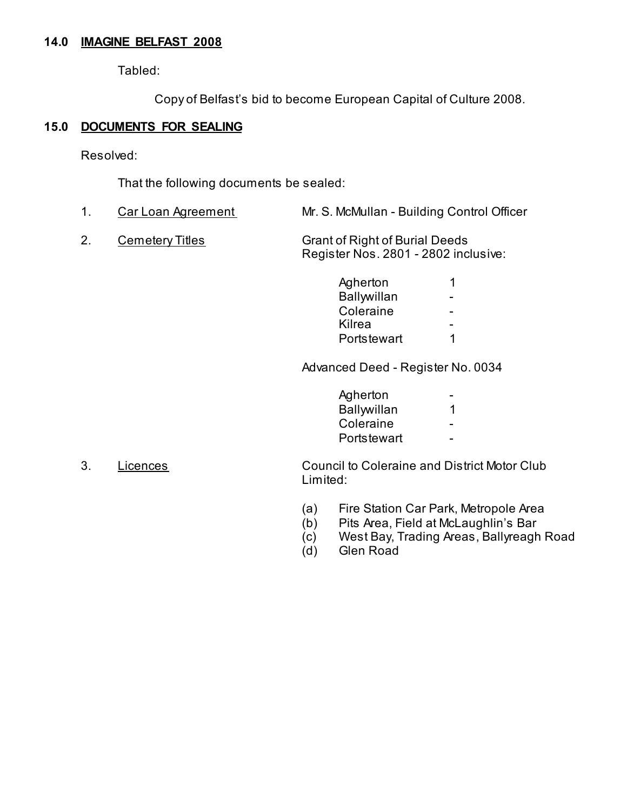## **14.0 IMAGINE BELFAST 2008**

Tabled:

Copy of Belfast's bid to become European Capital of Culture 2008.

## **15.0 DOCUMENTS FOR SEALING**

Resolved:

That the following documents be sealed:

- 1. Car Loan Agreement Mr. S. McMullan Building Control Officer
- 2. Cemetery Titles Grant of Right of Burial Deeds Register Nos. 2801 - 2802 inclusive:

| Agherton    |   |
|-------------|---|
| Ballwillan  | - |
| Coleraine   | - |
| Kilrea      | - |
| Portstewart |   |

Advanced Deed - Register No. 0034

| Agherton<br>$\overline{\phantom{a}}$ |
|--------------------------------------|
| Ballywillan                          |
| Coleraine<br>$\sim$                  |
| Portstewart<br>$\sim$                |

- 3. Licences Council to Coleraine and District Motor Club Limited:
	- (a) Fire Station Car Park, Metropole Area
	- (b) Pits Area, Field at McLaughlin's Bar
	- (c) West Bay, Trading Areas, Ballyreagh Road
	- (d) Glen Road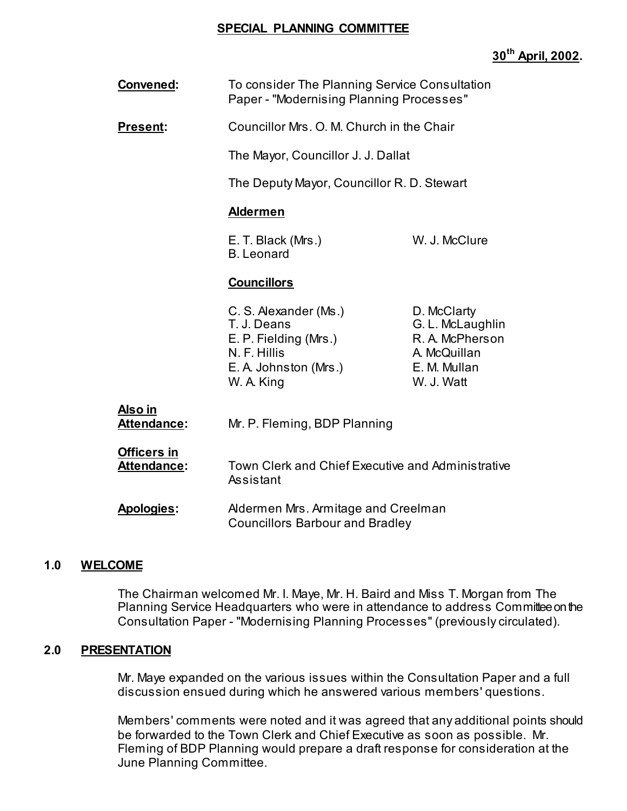#### **SPECIAL PLANNING COMMITTEE**

## **30th April, 2002.**

| Convened: | To consider The Planning Service Consultation   |
|-----------|-------------------------------------------------|
|           | <b>Paper - "Modernising Planning Processes"</b> |

**Present:** Councillor Mrs. O. M. Church in the Chair

The Mayor, Councillor J. J. Dallat

The Deputy Mayor, Councillor R. D. Stewart

#### **Aldermen**

 E. T. Black (Mrs.) W. J. McClure B. Leonard

#### **Councillors**

| C. S. Alexander (Ms.) |  |
|-----------------------|--|
| T. J. Deans           |  |
| E. P. Fielding (Mrs.) |  |
| N. F. Hillis          |  |
| E. A. Johnston (Mrs.) |  |
| W. A. King            |  |

D. McClarty G. L. McLaughlin R. A. McPherson A. McQuillan E. M. Mullan W. J. Watt

# **Also in**

 **Attendance:** Mr. P. Fleming, BDP Planning

#### **Officers in**

 **Attendance:** Town Clerk and Chief Executive and Administrative Assistant

## **Apologies:** Aldermen Mrs. Armitage and Creelman Councillors Barbour and Bradley

## **1.0 WELCOME**

 The Chairman welcomed Mr. I. Maye, Mr. H. Baird and Miss T. Morgan from The Planning Service Headquarters who were in attendance to address Committee on the Consultation Paper - "Modernising Planning Processes" (previously circulated).

## **2.0 PRESENTATION**

 Mr. Maye expanded on the various issues within the Consultation Paper and a full discussion ensued during which he answered various members' questions.

 Members' comments were noted and it was agreed that any additional points should be forwarded to the Town Clerk and Chief Executive as soon as possible. Mr. Fleming of BDP Planning would prepare a draft response for consideration at the June Planning Committee.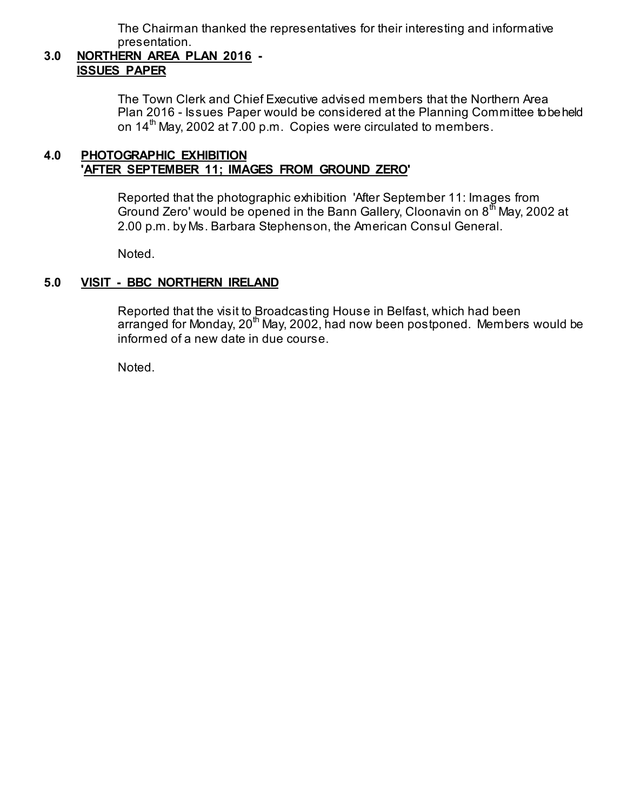The Chairman thanked the representatives for their interesting and informative presentation.

## **3.0 NORTHERN AREA PLAN 2016 - ISSUES PAPER**

 The Town Clerk and Chief Executive advised members that the Northern Area Plan 2016 - Issues Paper would be considered at the Planning Committee to be held on  $14^{\text{th}}$  May, 2002 at 7.00 p.m. Copies were circulated to members.

## **4.0 PHOTOGRAPHIC EXHIBITION 'AFTER SEPTEMBER 11; IMAGES FROM GROUND ZERO'**

 Reported that the photographic exhibition 'After September 11: Images from Ground Zero' would be opened in the Bann Gallery, Cloonavin on  $8<sup>th</sup>$  May, 2002 at 2.00 p.m. by Ms. Barbara Stephenson, the American Consul General.

Noted.

## **5.0 VISIT - BBC NORTHERN IRELAND**

 Reported that the visit to Broadcasting House in Belfast, which had been arranged for Monday,  $20^{th}$  May, 2002, had now been postponed. Members would be informed of a new date in due course.

Noted.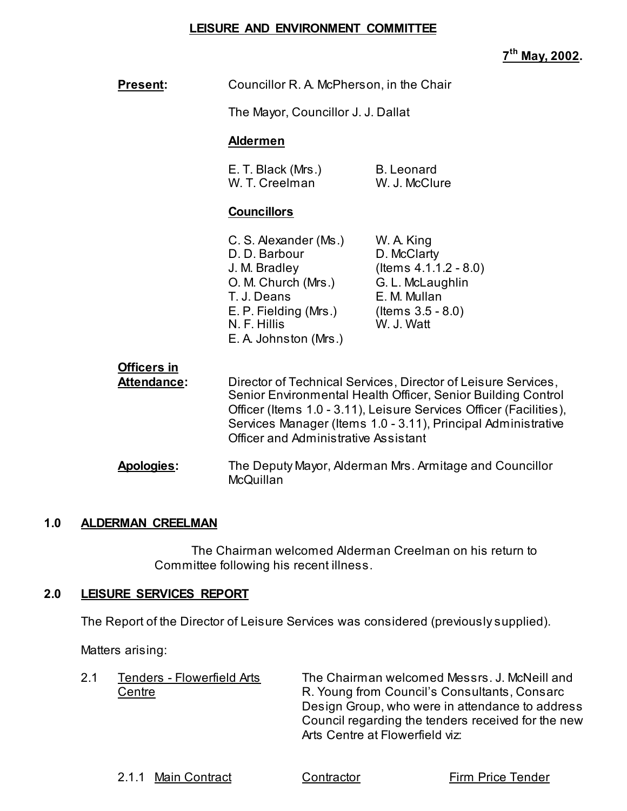## **LEISURE AND ENVIRONMENT COMMITTEE**

**7th May, 2002.** 

| <b>Present:</b>                          | Councillor R. A. McPherson, in the Chair                                                                                                                        |                                                                                                                                                                                                                                                                      |
|------------------------------------------|-----------------------------------------------------------------------------------------------------------------------------------------------------------------|----------------------------------------------------------------------------------------------------------------------------------------------------------------------------------------------------------------------------------------------------------------------|
|                                          | The Mayor, Councillor J. J. Dallat                                                                                                                              |                                                                                                                                                                                                                                                                      |
|                                          | <b>Aldermen</b>                                                                                                                                                 |                                                                                                                                                                                                                                                                      |
|                                          | E. T. Black (Mrs.)<br>W. T. Creelman                                                                                                                            | <b>B.</b> Leonard<br>W. J. McClure                                                                                                                                                                                                                                   |
|                                          | <b>Councillors</b>                                                                                                                                              |                                                                                                                                                                                                                                                                      |
|                                          | C. S. Alexander (Ms.)<br>D. D. Barbour<br>J. M. Bradley<br>O. M. Church (Mrs.)<br>T. J. Deans<br>E. P. Fielding (Mrs.)<br>N. F. Hillis<br>E. A. Johnston (Mrs.) | W. A. King<br>D. McClarty<br>(Items $4.1.1.2 - 8.0$ )<br>G. L. McLaughlin<br>E. M. Mullan<br>(Items $3.5 - 8.0$ )<br>W. J. Watt                                                                                                                                      |
| <b>Officers in</b><br><b>Attendance:</b> | <b>Officer and Administrative Assistant</b>                                                                                                                     | Director of Technical Services, Director of Leisure Services,<br>Senior Environmental Health Officer, Senior Building Control<br>Officer (Items 1.0 - 3.11), Leisure Services Officer (Facilities),<br>Services Manager (Items 1.0 - 3.11), Principal Administrative |
| Apologies:                               | McQuillan                                                                                                                                                       | The Deputy Mayor, Alderman Mrs. Armitage and Councillor                                                                                                                                                                                                              |

## **1.0 ALDERMAN CREELMAN**

 The Chairman welcomed Alderman Creelman on his return to Committee following his recent illness.

## **2.0 LEISURE SERVICES REPORT**

The Report of the Director of Leisure Services was considered (previously supplied).

Matters arising:

| 2.1 | Tenders - Flowerfield Arts | The Chairman welcomed Messrs. J. McNeill and       |
|-----|----------------------------|----------------------------------------------------|
|     | Centre                     | R. Young from Council's Consultants, Consarc       |
|     |                            | Design Group, who were in attendance to address    |
|     |                            | Council regarding the tenders received for the new |
|     |                            | Arts Centre at Flowerfield viz:                    |

2.1.1 Main Contract Contractor Contractor Firm Price Tender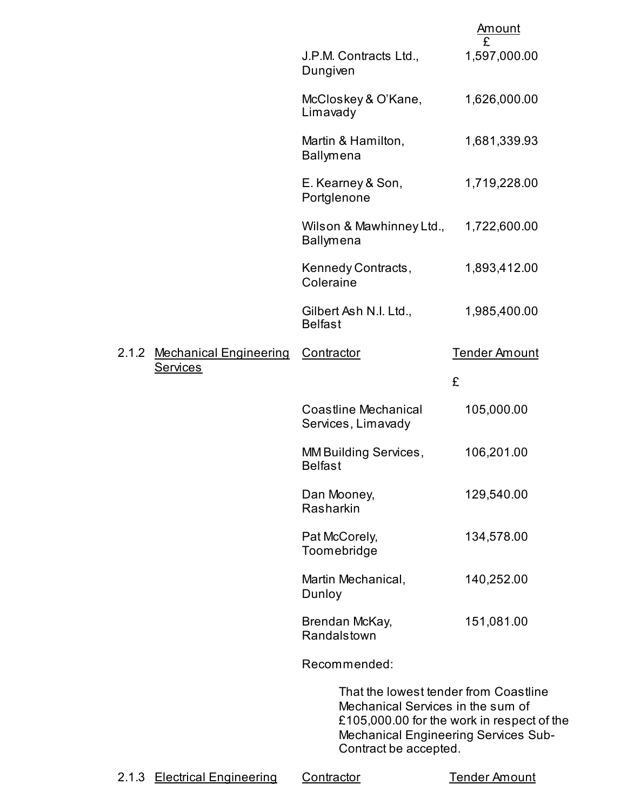|       |                               |                                                                                                     | Amount                                                                                    |
|-------|-------------------------------|-----------------------------------------------------------------------------------------------------|-------------------------------------------------------------------------------------------|
|       |                               | J.P.M. Contracts Ltd.,<br>Dungiven                                                                  | 1,597,000.00                                                                              |
|       |                               | McCloskey & O'Kane,<br>Limavady                                                                     | 1,626,000.00                                                                              |
|       |                               | Martin & Hamilton,<br><b>Ballymena</b>                                                              | 1,681,339.93                                                                              |
|       |                               | E. Kearney & Son,<br>Portglenone                                                                    | 1,719,228.00                                                                              |
|       |                               | Wilson & Mawhinney Ltd.,<br><b>Ballymena</b>                                                        | 1,722,600.00                                                                              |
|       |                               | Kennedy Contracts,<br>Coleraine                                                                     | 1,893,412.00                                                                              |
|       |                               | Gilbert Ash N.I. Ltd.,<br><b>Belfast</b>                                                            | 1,985,400.00                                                                              |
| 2.1.2 | <b>Mechanical Engineering</b> | Contractor                                                                                          | <b>Tender Amount</b>                                                                      |
|       | <b>Services</b>               |                                                                                                     | £                                                                                         |
|       |                               | <b>Coastline Mechanical</b><br>Services, Limavady                                                   | 105,000.00                                                                                |
|       |                               | MM Building Services,<br><b>Belfast</b>                                                             | 106,201.00                                                                                |
|       |                               | Dan Mooney,<br>Rasharkin                                                                            | 129,540.00                                                                                |
|       |                               | Pat McCorely,<br>Toomebridge                                                                        | 134,578.00                                                                                |
|       |                               | Martin Mechanical,<br>Dunloy                                                                        | 140,252.00                                                                                |
|       |                               | Brendan McKay,<br>Randalstown                                                                       | 151,081.00                                                                                |
|       |                               | Recommended:                                                                                        |                                                                                           |
|       |                               | That the lowest tender from Coastline<br>Mechanical Services in the sum of<br>Contract be accepted. | £105,000.00 for the work in respect of the<br><b>Mechanical Engineering Services Sub-</b> |
|       | 2.1.3 Electrical Engineering  | Contractor                                                                                          | <b>Tender Amount</b>                                                                      |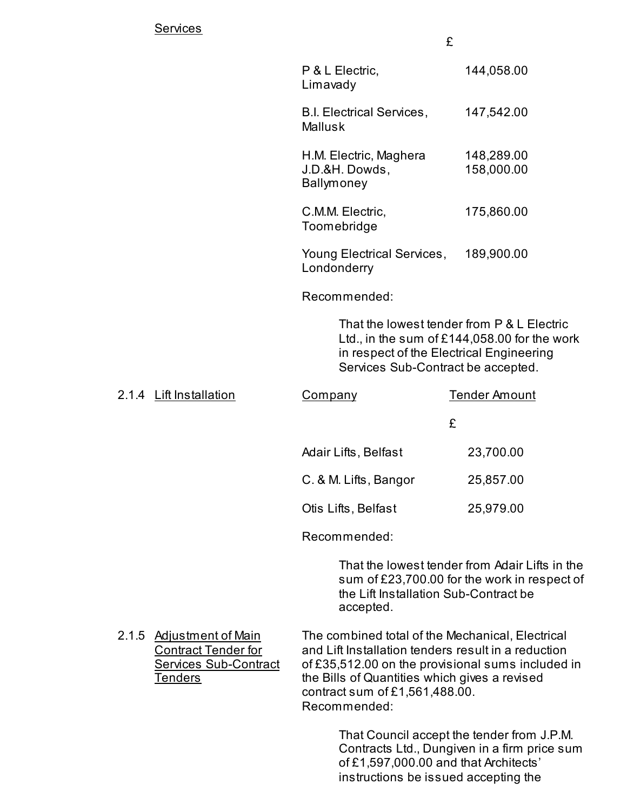|                                                        | £                        |
|--------------------------------------------------------|--------------------------|
| P & L Electric,<br>Limavady                            | 144,058.00               |
| <b>B.I. Electrical Services,</b><br><b>Mallusk</b>     | 147,542.00               |
| H.M. Electric, Maghera<br>J.D.&H. Dowds,<br>Ballymoney | 148,289.00<br>158,000.00 |
| C.M.M. Electric,<br>Toomebridge                        | 175,860.00               |
| Young Electrical Services,<br>Londonderry              | 189,900.00               |
| Recommended:                                           |                          |

 That the lowest tender from P & L Electric Ltd., in the sum of £144,058.00 for the work in respect of the Electrical Engineering Services Sub-Contract be accepted.

| 2.1.4 Lift Installation | Company               | <b>Tender Amount</b> |
|-------------------------|-----------------------|----------------------|
|                         |                       | £                    |
|                         | Adair Lifts, Belfast  | 23,700.00            |
|                         | C. & M. Lifts, Bangor | 25,857.00            |
|                         | Otis Lifts, Belfast   | 25,979.00            |
|                         | Recommended:          |                      |

 That the lowest tender from Adair Lifts in the sum of £23,700.00 for the work in respect of the Lift Installation Sub-Contract be accepted.

2.1.5 Adjustment of Main The combined total of the Mechanical, Electrical Contract Tender for and Lift Installation tenders result in a reduction<br>Services Sub-Contract of £35,512.00 on the provisional sums included of  $£35,512.00$  on the provisional sums included in Tenders Tenders the Bills of Quantities which gives a revised contract sum of £1,561,488.00.

Recommended:

 That Council accept the tender from J.P.M. Contracts Ltd., Dungiven in a firm price sum of £1,597,000.00 and that Architects' instructions be issued accepting the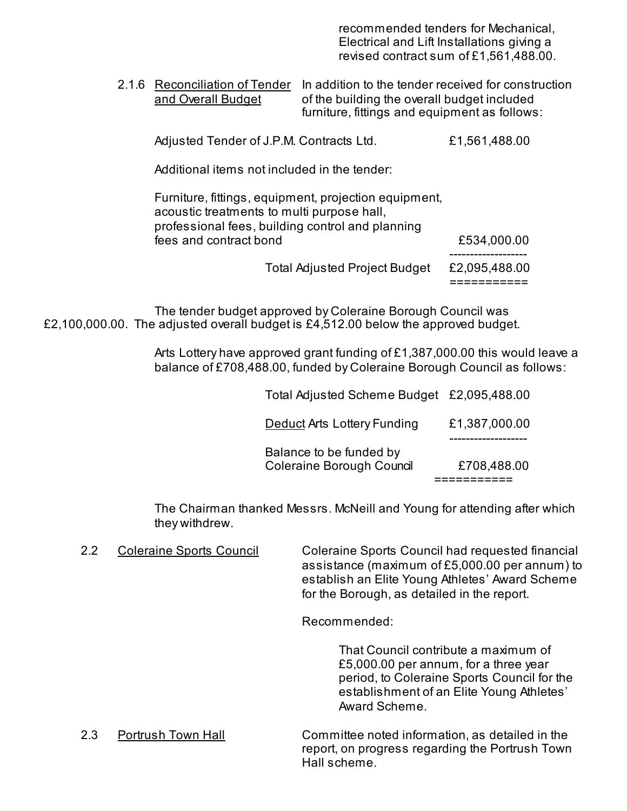recommended tenders for Mechanical, Electrical and Lift Installations giving a revised contract sum of £1,561,488.00.

 2.1.6 Reconciliation of Tender In addition to the tender received for construction and Overall Budget of the building the overall budget included furniture, fittings and equipment as follows:

Adjusted Tender of J.P.M. Contracts Ltd.  $£1,561,488.00$ 

Additional items not included in the tender:

 Furniture, fittings, equipment, projection equipment, acoustic treatments to multi purpose hall, professional fees, building control and planning fees and contract bond **£534,000.00** -------------------

Total Adjusted Project Budget £2,095,488.00

===========

 The tender budget approved by Coleraine Borough Council was £2,100,000.00. The adjusted overall budget is £4,512.00 below the approved budget.

> Arts Lottery have approved grant funding of £1,387,000.00 this would leave a balance of £708,488.00, funded by Coleraine Borough Council as follows:

| Balance to be funded by<br><b>Coleraine Borough Council</b> | £708,488.00                                |
|-------------------------------------------------------------|--------------------------------------------|
| <b>Deduct Arts Lottery Funding</b>                          | £1,387,000.00                              |
|                                                             | Total Adjusted Scheme Budget £2,095,488.00 |

The Chairman thanked Messrs. McNeill and Young for attending after which they withdrew.

2.2 Coleraine Sports Council Coleraine Sports Council had requested financial assistance (maximum of £5,000.00 per annum) to establish an Elite Young Athletes' Award Scheme for the Borough, as detailed in the report.

Recommended:

 That Council contribute a maximum of £5,000.00 per annum, for a three year period, to Coleraine Sports Council for the establishment of an Elite Young Athletes' Award Scheme.

 2.3 Portrush Town Hall Committee noted information, as detailed in the report, on progress regarding the Portrush Town Hall scheme.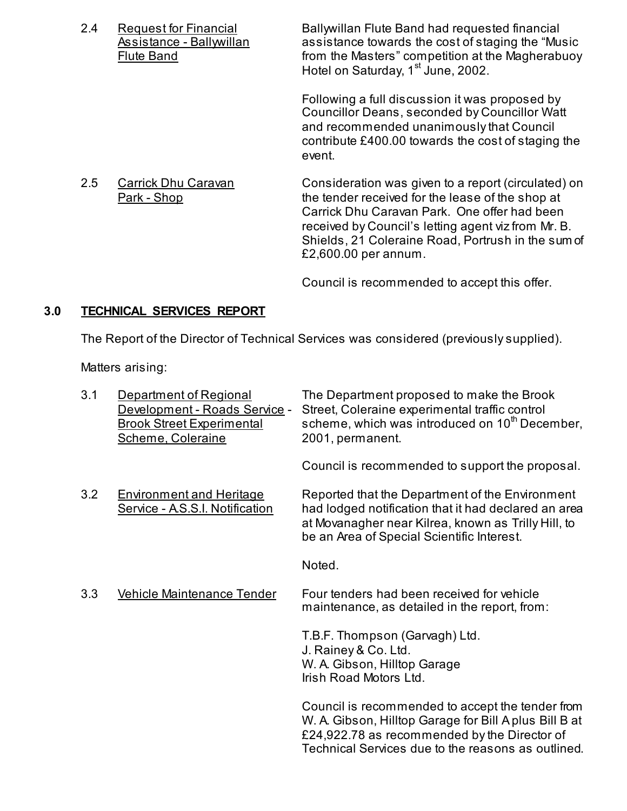2.4 Request for Financial Ballywillan Flute Band had requested financial Assistance - Ballywillan assistance towards the cost of staging the "Music Flute Band **Filute Band from the Masters**" competition at the Magherabuoy Hotel on Saturday, 1<sup>st</sup> June, 2002.

> Following a full discussion it was proposed by Councillor Deans, seconded by Councillor Watt and recommended unanimously that Council contribute £400.00 towards the cost of staging the event.

2.5 Carrick Dhu Caravan Consideration was given to a report (circulated) on Park - Shop the tender received for the lease of the shop at Carrick Dhu Caravan Park. One offer had been received by Council's letting agent viz from Mr. B. Shields, 21 Coleraine Road, Portrush in the sum of £2,600.00 per annum.

Council is recommended to accept this offer.

## **3.0 TECHNICAL SERVICES REPORT**

The Report of the Director of Technical Services was considered (previously supplied).

Matters arising:

| 3.1 | Department of Regional<br>Development - Roads Service -<br><b>Brook Street Experimental</b><br>Scheme, Coleraine | The Department proposed to make the Brook<br>Street, Coleraine experimental traffic control<br>scheme, which was introduced on 10 <sup>th</sup> December,<br>2001, permanent.                                    |
|-----|------------------------------------------------------------------------------------------------------------------|------------------------------------------------------------------------------------------------------------------------------------------------------------------------------------------------------------------|
|     |                                                                                                                  | Council is recommended to support the proposal.                                                                                                                                                                  |
| 3.2 | <b>Environment and Heritage</b><br>Service - A.S.S.I. Notification                                               | Reported that the Department of the Environment<br>had lodged notification that it had declared an area<br>at Movanagher near Kilrea, known as Trilly Hill, to<br>be an Area of Special Scientific Interest.     |
|     |                                                                                                                  | Noted.                                                                                                                                                                                                           |
| 3.3 | <b>Vehicle Maintenance Tender</b>                                                                                | Four tenders had been received for vehicle<br>maintenance, as detailed in the report, from:                                                                                                                      |
|     |                                                                                                                  | T.B.F. Thompson (Garvagh) Ltd.<br>J. Rainey & Co. Ltd.<br>W. A. Gibson, Hilltop Garage<br>Irish Road Motors Ltd.                                                                                                 |
|     |                                                                                                                  | Council is recommended to accept the tender from<br>W. A. Gibson, Hilltop Garage for Bill A plus Bill B at<br>£24,922.78 as recommended by the Director of<br>Technical Services due to the reasons as outlined. |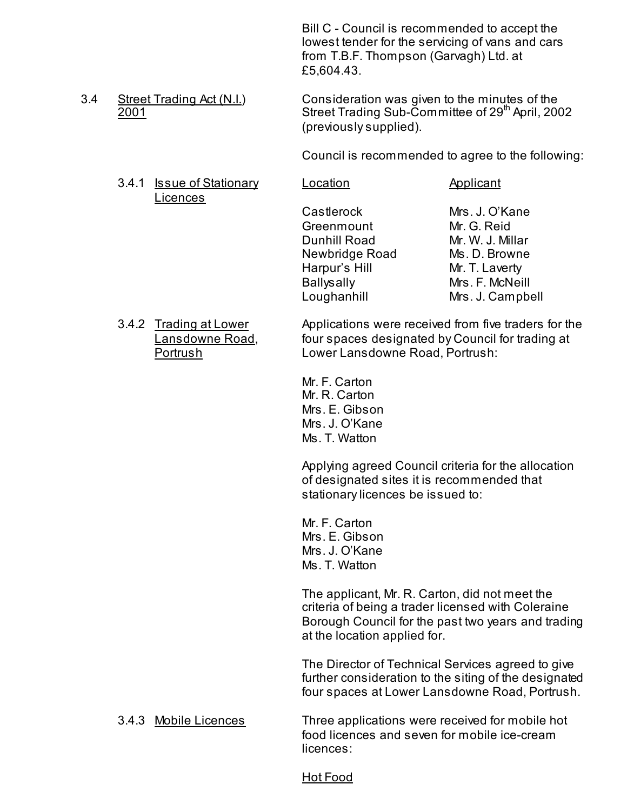Bill C - Council is recommended to accept the lowest tender for the servicing of vans and cars from T.B.F. Thompson (Garvagh) Ltd. at £5,604.43.

3.4 Street Trading Act (N.I.) Consideration was given to the minutes of the 2001 Street Trading Sub-Committee of 29<sup>th</sup> April, 2002 (previously supplied).

Council is recommended to agree to the following:

3.4.1 Issue of Stationary Location **Applicant** Licences

 Castlerock Mrs. J. O'Kane Greenmount Mr. G. Reid Dunhill Road Mr. W. J. Millar Newbridge Road Ms. D. Browne Harpur's Hill Mr. T. Laverty Ballysally Mrs. F. McNeill Loughanhill Mrs. J. Campbell

3.4.2 Trading at Lower Applications were received from five traders for the Lansdowne Road, four spaces designated by Council for trading at Portrush Lower Lansdowne Road, Portrush:

> Mr. F. Carton Mr. R. Carton Mrs. E. Gibson Mrs. J. O'Kane Ms. T. Watton

 Applying agreed Council criteria for the allocation of designated sites it is recommended that stationary licences be issued to:

 Mr. F. Carton Mrs. E. Gibson Mrs. J. O'Kane Ms. T. Watton

 The applicant, Mr. R. Carton, did not meet the criteria of being a trader licensed with Coleraine Borough Council for the past two years and trading at the location applied for.

 The Director of Technical Services agreed to give further consideration to the siting of the designated four spaces at Lower Lansdowne Road, Portrush.

 3.4.3 Mobile Licences Three applications were received for mobile hot food licences and seven for mobile ice-cream licences:

Hot Food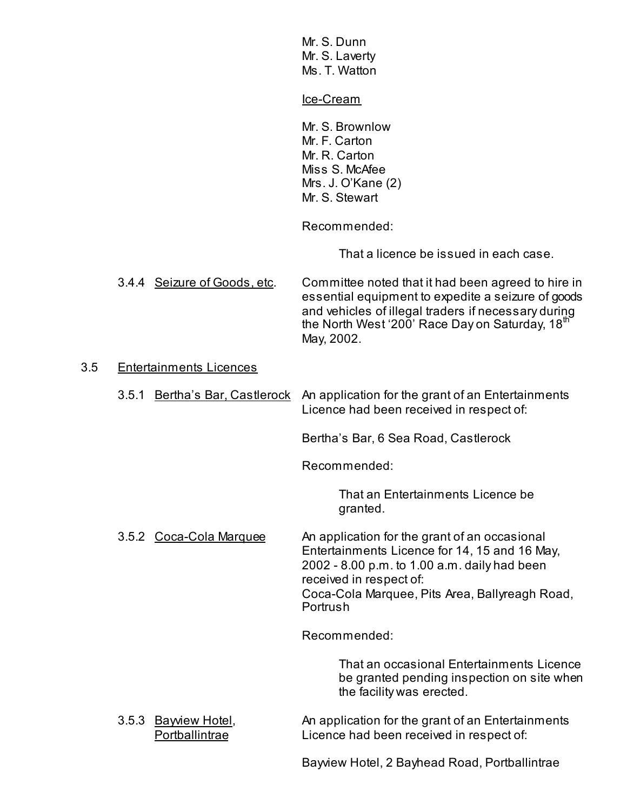|     |                                | Mr. S. Dunn<br>Mr. S. Laverty<br>Ms. T. Watton                                                                                                                                                                                          |
|-----|--------------------------------|-----------------------------------------------------------------------------------------------------------------------------------------------------------------------------------------------------------------------------------------|
|     |                                | Ice-Cream                                                                                                                                                                                                                               |
|     |                                | Mr. S. Brownlow<br>Mr. F. Carton<br>Mr. R. Carton<br>Miss S. McAfee<br>Mrs. J. O'Kane (2)<br>Mr. S. Stewart                                                                                                                             |
|     |                                | Recommended:                                                                                                                                                                                                                            |
|     |                                | That a licence be issued in each case.                                                                                                                                                                                                  |
|     | 3.4.4 Seizure of Goods, etc.   | Committee noted that it had been agreed to hire in<br>essential equipment to expedite a seizure of goods<br>and vehicles of illegal traders if necessary during<br>the North West '200' Race Day on Saturday, 18th<br>May, 2002.        |
| 3.5 | <b>Entertainments Licences</b> |                                                                                                                                                                                                                                         |
|     | 3.5.1 Bertha's Bar, Castlerock | An application for the grant of an Entertainments<br>Licence had been received in respect of:                                                                                                                                           |
|     |                                | Bertha's Bar, 6 Sea Road, Castlerock                                                                                                                                                                                                    |
|     |                                | Recommended:                                                                                                                                                                                                                            |
|     |                                | That an Entertainments Licence be<br>granted.                                                                                                                                                                                           |
|     | 3.5.2 Coca-Cola Marquee        | An application for the grant of an occasional<br>Entertainments Licence for 14, 15 and 16 May,<br>2002 - 8.00 p.m. to 1.00 a.m. daily had been<br>received in respect of:<br>Coca-Cola Marquee, Pits Area, Ballyreagh Road,<br>Portrush |
|     |                                | Recommended:                                                                                                                                                                                                                            |
|     |                                | That an occasional Entertainments Licence<br>be granted pending inspection on site when<br>the facility was erected.                                                                                                                    |
|     | 3.5.3 Bawiew Hotel,            | An application for the grant of an Entertainments                                                                                                                                                                                       |

Portballintrae **Licence had been received in respect of:** 

Bayview Hotel, 2 Bayhead Road, Portballintrae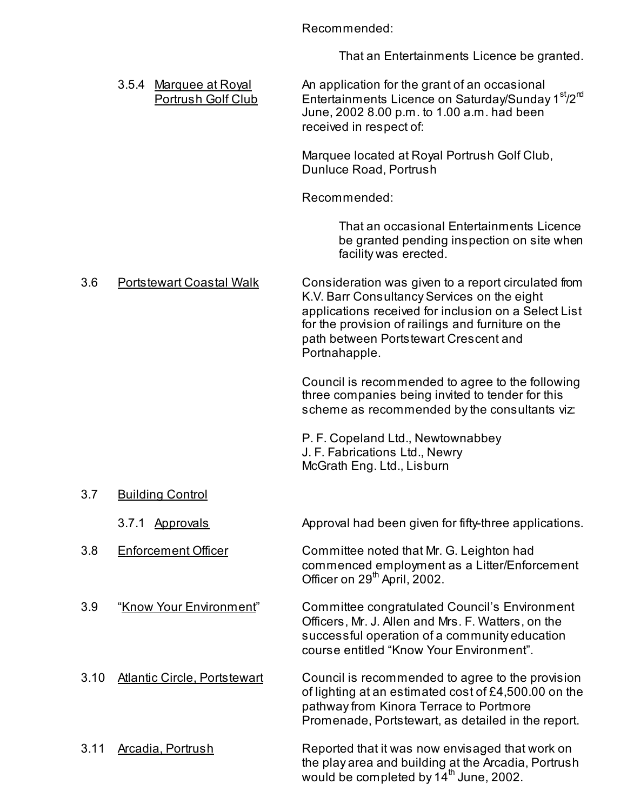Recommended:

That an Entertainments Licence be granted.

|      | 3.5.4 Marquee at Royal<br>Portrush Golf Club | An application for the grant of an occasional<br>Entertainments Licence on Saturday/Sunday 1 <sup>st</sup> /2 <sup>m</sup><br>June, 2002 8.00 p.m. to 1.00 a.m. had been<br>received in respect of:                                                                        |
|------|----------------------------------------------|----------------------------------------------------------------------------------------------------------------------------------------------------------------------------------------------------------------------------------------------------------------------------|
|      |                                              | Marquee located at Royal Portrush Golf Club,<br>Dunluce Road, Portrush                                                                                                                                                                                                     |
|      |                                              | Recommended:                                                                                                                                                                                                                                                               |
|      |                                              | That an occasional Entertainments Licence<br>be granted pending inspection on site when<br>facility was erected.                                                                                                                                                           |
| 3.6  | <b>Portstewart Coastal Walk</b>              | Consideration was given to a report circulated from<br>K.V. Barr Consultancy Services on the eight<br>applications received for inclusion on a Select List<br>for the provision of railings and furniture on the<br>path between Portstewart Crescent and<br>Portnahapple. |
|      |                                              | Council is recommended to agree to the following<br>three companies being invited to tender for this<br>scheme as recommended by the consultants viz:                                                                                                                      |
|      |                                              | P. F. Copeland Ltd., Newtownabbey<br>J. F. Fabrications Ltd., Newry<br>McGrath Eng. Ltd., Lisburn                                                                                                                                                                          |
| 3.7  | <b>Building Control</b>                      |                                                                                                                                                                                                                                                                            |
|      | 3.7.1 Approvals                              | Approval had been given for fifty-three applications.                                                                                                                                                                                                                      |
| 3.8  | <b>Enforcement Officer</b>                   | Committee noted that Mr. G. Leighton had<br>commenced employment as a Litter/Enforcement<br>Officer on 29 <sup>th</sup> April, 2002.                                                                                                                                       |
| 3.9  | "Know Your Environment"                      | Committee congratulated Council's Environment<br>Officers, Mr. J. Allen and Mrs. F. Watters, on the<br>successful operation of a community education<br>course entitled "Know Your Environment".                                                                           |
| 3.10 | <b>Atlantic Circle, Portstewart</b>          | Council is recommended to agree to the provision<br>of lighting at an estimated cost of £4,500.00 on the<br>pathway from Kinora Terrace to Portmore<br>Promenade, Portstewart, as detailed in the report.                                                                  |
| 3.11 | Arcadia, Portrush                            | Reported that it was now envisaged that work on<br>the play area and building at the Arcadia, Portrush<br>would be completed by 14 <sup>th</sup> June, 2002.                                                                                                               |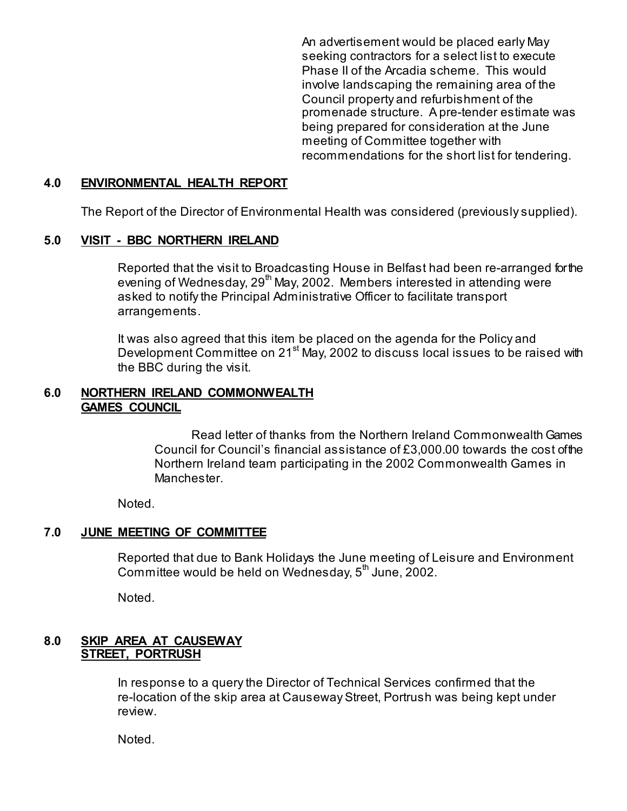An advertisement would be placed early May seeking contractors for a select list to execute Phase II of the Arcadia scheme. This would involve landscaping the remaining area of the Council property and refurbishment of the promenade structure. A pre-tender estimate was being prepared for consideration at the June meeting of Committee together with recommendations for the short list for tendering.

#### **4.0 ENVIRONMENTAL HEALTH REPORT**

The Report of the Director of Environmental Health was considered (previously supplied).

## **5.0 VISIT - BBC NORTHERN IRELAND**

Reported that the visit to Broadcasting House in Belfast had been re-arranged for the evening of Wednesday, 29<sup>th</sup> May, 2002. Members interested in attending were asked to notify the Principal Administrative Officer to facilitate transport arrangements.

It was also agreed that this item be placed on the agenda for the Policy and Development Committee on 21<sup>st</sup> May, 2002 to discuss local issues to be raised with the BBC during the visit.

## **6.0 NORTHERN IRELAND COMMONWEALTH GAMES COUNCIL**

 Read letter of thanks from the Northern Ireland Commonwealth Games Council for Council's financial assistance of £3,000.00 towards the cost of the Northern Ireland team participating in the 2002 Commonwealth Games in Manchester.

Noted.

## **7.0 JUNE MEETING OF COMMITTEE**

 Reported that due to Bank Holidays the June meeting of Leisure and Environment Committee would be held on Wednesday,  $5<sup>th</sup>$  June, 2002.

Noted.

## **8.0 SKIP AREA AT CAUSEWAY STREET, PORTRUSH**

 In response to a query the Director of Technical Services confirmed that the re-location of the skip area at Causeway Street, Portrush was being kept under review.

Noted.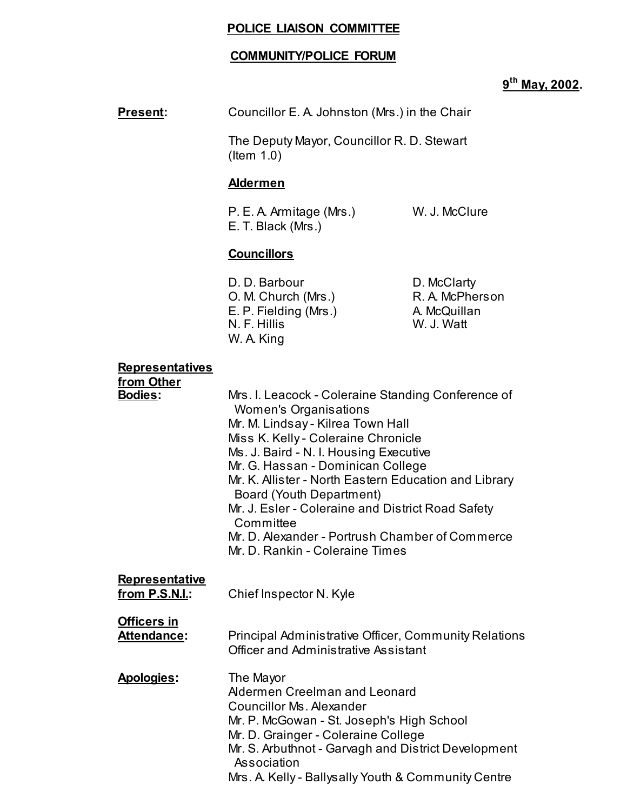## **POLICE LIAISON COMMITTEE**

## **COMMUNITY/POLICE FORUM**

# **9th May, 2002.**

## **Present:** Councillor E. A. Johnston (Mrs.) in the Chair

 The Deputy Mayor, Councillor R. D. Stewart (Item 1.0)

## **Aldermen**

P. E. A. Armitage (Mrs.) W. J. McClure E. T. Black (Mrs.)

## **Councillors**

D. D. Barbour D. McClarty O. M. Church (Mrs.) R. A. McPherson E. P. Fielding (Mrs.) A. McQuillan N. F. Hillis N. F. Hillis W. A. King

#### **Representatives**

| Mrs. I. Leacock - Coleraine Standing Conference of    |
|-------------------------------------------------------|
|                                                       |
|                                                       |
|                                                       |
|                                                       |
| Mr. K. Allister - North Eastern Education and Library |
|                                                       |
| Mr. D. Alexander - Portrush Chamber of Commerce       |
|                                                       |
|                                                       |
|                                                       |
|                                                       |
| Principal Administrative Officer, Community Relations |
|                                                       |
|                                                       |
|                                                       |
|                                                       |
|                                                       |
| Mr. S. Arbuthnot - Garvagh and District Development   |
|                                                       |
|                                                       |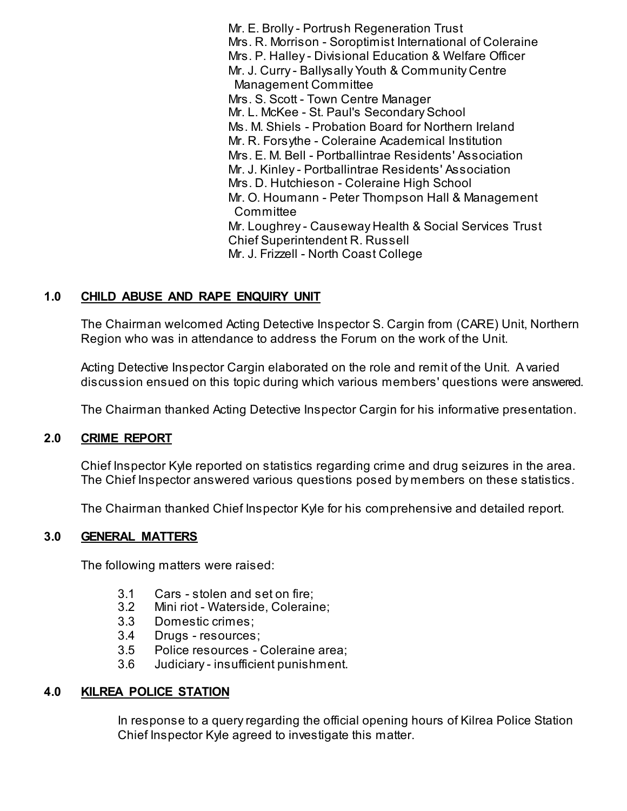Mr. E. Brolly - Portrush Regeneration Trust Mrs. R. Morrison - Soroptimist International of Coleraine Mrs. P. Halley - Divisional Education & Welfare Officer Mr. J. Curry - Ballysally Youth & Community Centre Management Committee Mrs. S. Scott - Town Centre Manager Mr. L. McKee - St. Paul's Secondary School Ms. M. Shiels - Probation Board for Northern Ireland Mr. R. Forsythe - Coleraine Academical Institution Mrs. E. M. Bell - Portballintrae Residents' Association Mr. J. Kinley - Portballintrae Residents' Association Mrs. D. Hutchieson - Coleraine High School Mr. O. Houmann - Peter Thompson Hall & Management **Committee**  Mr. Loughrey - Causeway Health & Social Services Trust Chief Superintendent R. Russell Mr. J. Frizzell - North Coast College

## **1.0 CHILD ABUSE AND RAPE ENQUIRY UNIT**

 The Chairman welcomed Acting Detective Inspector S. Cargin from (CARE) Unit, Northern Region who was in attendance to address the Forum on the work of the Unit.

 Acting Detective Inspector Cargin elaborated on the role and remit of the Unit. A varied discussion ensued on this topic during which various members' questions were answered.

The Chairman thanked Acting Detective Inspector Cargin for his informative presentation.

## **2.0 CRIME REPORT**

 Chief Inspector Kyle reported on statistics regarding crime and drug seizures in the area. The Chief Inspector answered various questions posed by members on these statistics.

The Chairman thanked Chief Inspector Kyle for his comprehensive and detailed report.

## **3.0 GENERAL MATTERS**

The following matters were raised:

- 3.1 Cars stolen and set on fire;
- 3.2 Mini riot Waterside, Coleraine;
- 3.3 Domestic crimes;
- 3.4 Drugs resources;
- 3.5 Police resources Coleraine area;
- 3.6 Judiciary insufficient punishment.

## **4.0 KILREA POLICE STATION**

 In response to a query regarding the official opening hours of Kilrea Police Station Chief Inspector Kyle agreed to investigate this matter.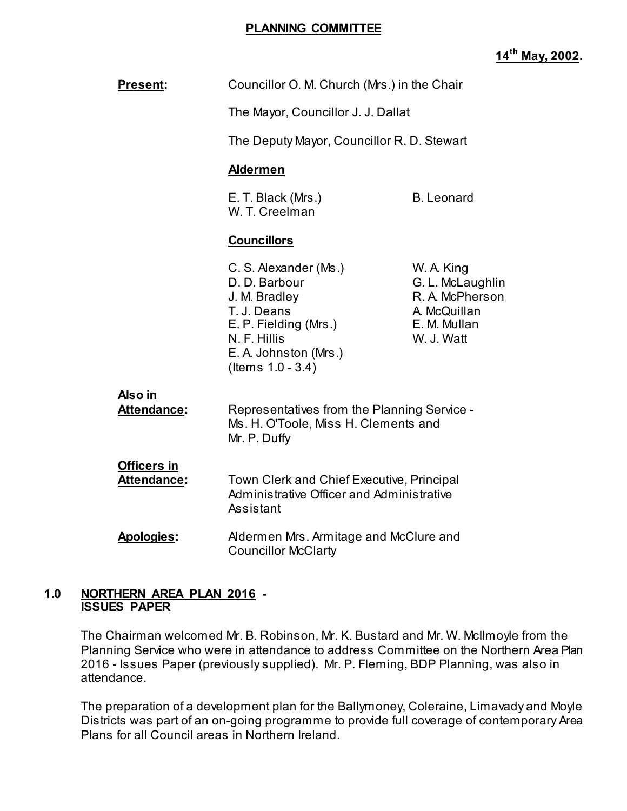#### **PLANNING COMMITTEE**

## **14th May, 2002.**

| Present:                          | Councillor O. M. Church (Mrs.) in the Chair                                                                                                                                 |                                                                                                 |  |
|-----------------------------------|-----------------------------------------------------------------------------------------------------------------------------------------------------------------------------|-------------------------------------------------------------------------------------------------|--|
|                                   | The Mayor, Councillor J. J. Dallat                                                                                                                                          |                                                                                                 |  |
|                                   | The Deputy Mayor, Councillor R. D. Stewart                                                                                                                                  |                                                                                                 |  |
|                                   | <b>Aldermen</b>                                                                                                                                                             |                                                                                                 |  |
|                                   | E. T. Black (Mrs.)<br>W. T. Creelman                                                                                                                                        | <b>B.</b> Leonard                                                                               |  |
|                                   | <b>Councillors</b>                                                                                                                                                          |                                                                                                 |  |
|                                   | C. S. Alexander (Ms.)<br>D. D. Barbour<br>J. M. Bradley<br>T. J. Deans<br>E. P. Fielding (Mrs.)<br>N. F. Hillis<br>E. A. Johnston (Mrs.)<br>(Items $1.0 - 3.4$ )            | W. A. King<br>G. L. McLaughlin<br>R. A. McPherson<br>A. McQuillan<br>E. M. Mullan<br>W. J. Watt |  |
| Also in<br>Attendance:            | Representatives from the Planning Service -<br>Ms. H. O'Toole, Miss H. Clements and<br>Mr. P. Duffy                                                                         |                                                                                                 |  |
| <b>Officers in</b><br>Attendance: | Town Clerk and Chief Executive, Principal<br>Administrative Officer and Administrative<br>Assistant<br>Aldermen Mrs. Armitage and McClure and<br><b>Councillor McClarty</b> |                                                                                                 |  |
| <b>Apologies:</b>                 |                                                                                                                                                                             |                                                                                                 |  |

## **1.0 NORTHERN AREA PLAN 2016 - ISSUES PAPER**

 The Chairman welcomed Mr. B. Robinson, Mr. K. Bustard and Mr. W. McIlmoyle from the Planning Service who were in attendance to address Committee on the Northern Area Plan 2016 - Issues Paper (previously supplied). Mr. P. Fleming, BDP Planning, was also in attendance.

 The preparation of a development plan for the Ballymoney, Coleraine, Limavady and Moyle Districts was part of an on-going programme to provide full coverage of contemporary Area Plans for all Council areas in Northern Ireland.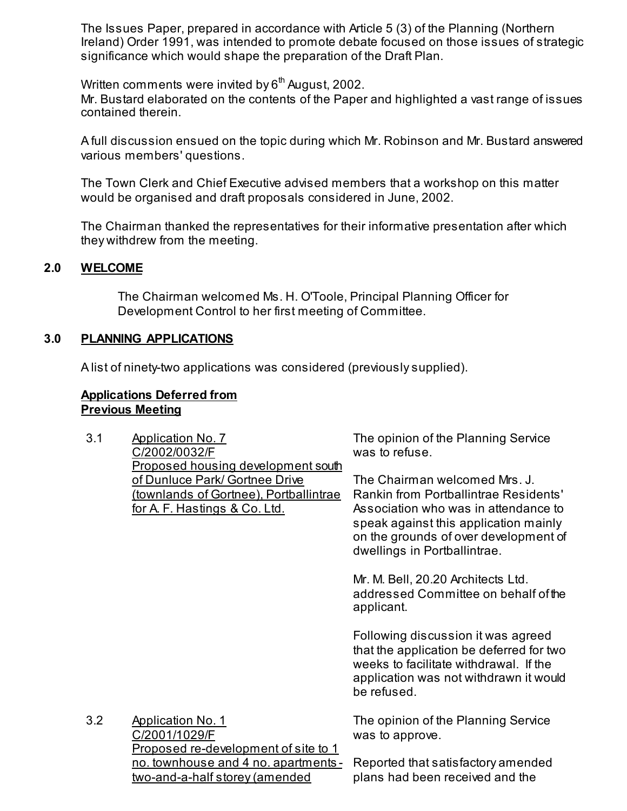The Issues Paper, prepared in accordance with Article 5 (3) of the Planning (Northern Ireland) Order 1991, was intended to promote debate focused on those issues of strategic significance which would shape the preparation of the Draft Plan.

Written comments were invited by  $6<sup>th</sup>$  August, 2002. Mr. Bustard elaborated on the contents of the Paper and highlighted a vast range of issues contained therein.

 A full discussion ensued on the topic during which Mr. Robinson and Mr. Bustard answered various members' questions.

 The Town Clerk and Chief Executive advised members that a workshop on this matter would be organised and draft proposals considered in June, 2002.

 The Chairman thanked the representatives for their informative presentation after which they withdrew from the meeting.

## **2.0 WELCOME**

 The Chairman welcomed Ms. H. O'Toole, Principal Planning Officer for Development Control to her first meeting of Committee.

## **3.0 PLANNING APPLICATIONS**

A list of ninety-two applications was considered (previously supplied).

## **Applications Deferred from Previous Meeting**

| 3.1 | <b>Application No. 7</b><br>C/2002/0032/F<br><b>Proposed housing development south</b>                               | The opinion of the Planning Service<br>was to refuse.                                                                                                                                                                            |
|-----|----------------------------------------------------------------------------------------------------------------------|----------------------------------------------------------------------------------------------------------------------------------------------------------------------------------------------------------------------------------|
|     | of Dunluce Park/ Gortnee Drive<br>(townlands of Gortnee), Portballintrae<br><u>for A. F. Hastings &amp; Co. Ltd.</u> | The Chairman welcomed Mrs. J.<br>Rankin from Portballintrae Residents'<br>Association who was in attendance to<br>speak against this application mainly<br>on the grounds of over development of<br>dwellings in Portballintrae. |
|     |                                                                                                                      | Mr. M. Bell, 20.20 Architects Ltd.<br>addressed Committee on behalf of the<br>applicant.                                                                                                                                         |
|     |                                                                                                                      | Following discussion it was agreed<br>that the application be deferred for two<br>weeks to facilitate withdrawal. If the<br>application was not withdrawn it would<br>be refused.                                                |
| 3.2 | <b>Application No. 1</b><br>C/2001/1029/F<br>Proposed re-development of site to 1                                    | The opinion of the Planning Service<br>was to approve.                                                                                                                                                                           |
|     | <u>no. townhouse and 4 no. apartments - </u><br>two-and-a-half storey (amended                                       | Reported that satisfactory amended<br>plans had been received and the                                                                                                                                                            |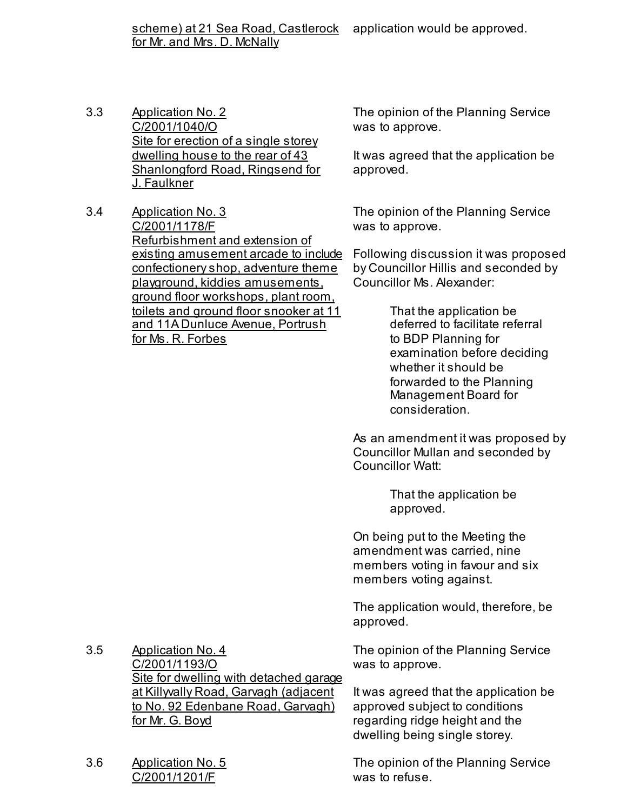scheme) at 21 Sea Road, Castlerock for Mr. and Mrs. D. McNally application would be approved.

- 3.3 Application No. 2 C/2001/1040/O Site for erection of a single storey dwelling house to the rear of 43 Shanlongford Road, Ringsend for J. Faulkner
- 3.4 Application No. 3 C/2001/1178/F Refurbishment and extension of existing amusement arcade to include confectionery shop, adventure theme playground, kiddies amusements, ground floor workshops, plant room, toilets and ground floor snooker at 11 and 11A Dunluce Avenue, Portrush for Ms. R. Forbes

The opinion of the Planning Service was to approve.

It was agreed that the application be approved.

The opinion of the Planning Service was to approve.

Following discussion it was proposed by Councillor Hillis and seconded by Councillor Ms. Alexander:

> That the application be deferred to facilitate referral to BDP Planning for examination before deciding whether it should be forwarded to the Planning Management Board for consideration.

As an amendment it was proposed by Councillor Mullan and seconded by Councillor Watt:

> That the application be approved.

On being put to the Meeting the amendment was carried, nine members voting in favour and six members voting against.

The application would, therefore, be approved.

The opinion of the Planning Service was to approve.

It was agreed that the application be approved subject to conditions regarding ridge height and the dwelling being single storey.

The opinion of the Planning Service was to refuse.

3.5 Application No. 4 C/2001/1193/O Site for dwelling with detached garage at Killyvally Road, Garvagh (adjacent to No. 92 Edenbane Road, Garvagh) for Mr. G. Boyd

3.6 Application No. 5 C/2001/1201/F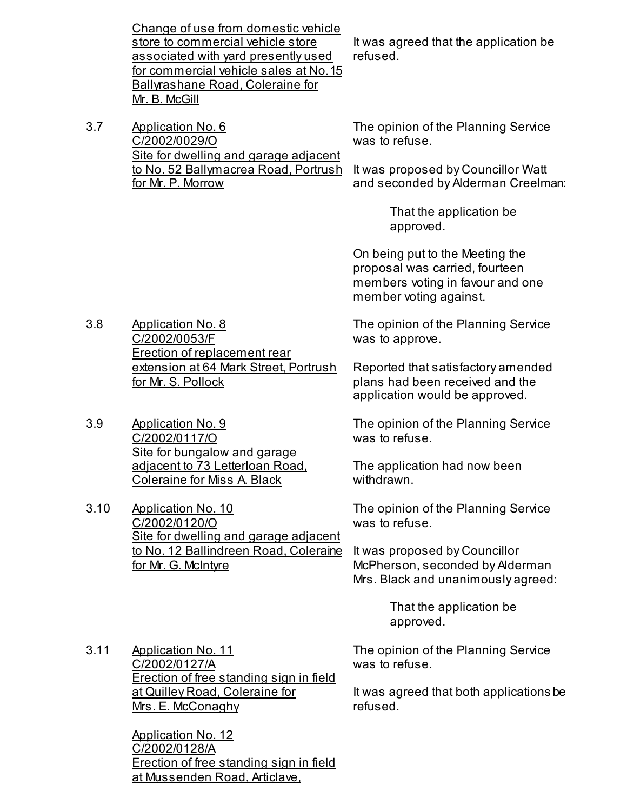Change of use from domestic vehicle store to commercial vehicle store associated with yard presently used for commercial vehicle sales at No. 15 Ballyrashane Road, Coleraine for Mr. B. McGill

3.7 Application No. 6 C/2002/0029/O Site for dwelling and garage adjacent to No. 52 Ballymacrea Road, Portrush for Mr. P. Morrow

It was agreed that the application be refused.

The opinion of the Planning Service was to refuse.

It was proposed by Councillor Watt and seconded by Alderman Creelman:

> That the application be approved.

On being put to the Meeting the proposal was carried, fourteen members voting in favour and one member voting against.

The opinion of the Planning Service was to approve.

Reported that satisfactory amended plans had been received and the application would be approved.

The opinion of the Planning Service was to refuse.

The application had now been withdrawn.

The opinion of the Planning Service was to refuse.

It was proposed by Councillor McPherson, seconded by Alderman Mrs. Black and unanimously agreed:

> That the application be approved.

The opinion of the Planning Service was to refuse.

It was agreed that both applications be refused.

3.8 Application No. 8 C/2002/0053/F Erection of replacement rear extension at 64 Mark Street, Portrush for Mr. S. Pollock

3.9 Application No. 9 C/2002/0117/O Site for bungalow and garage adjacent to 73 Letterloan Road, Coleraine for Miss A. Black

3.10 Application No. 10 C/2002/0120/O Site for dwelling and garage adjacent to No. 12 Ballindreen Road, Coleraine for Mr. G. McIntyre

3.11 Application No. 11 C/2002/0127/A Erection of free standing sign in field at Quilley Road, Coleraine for Mrs. E. McConaghy

> Application No. 12 C/2002/0128/A Erection of free standing sign in field at Mussenden Road, Articlave,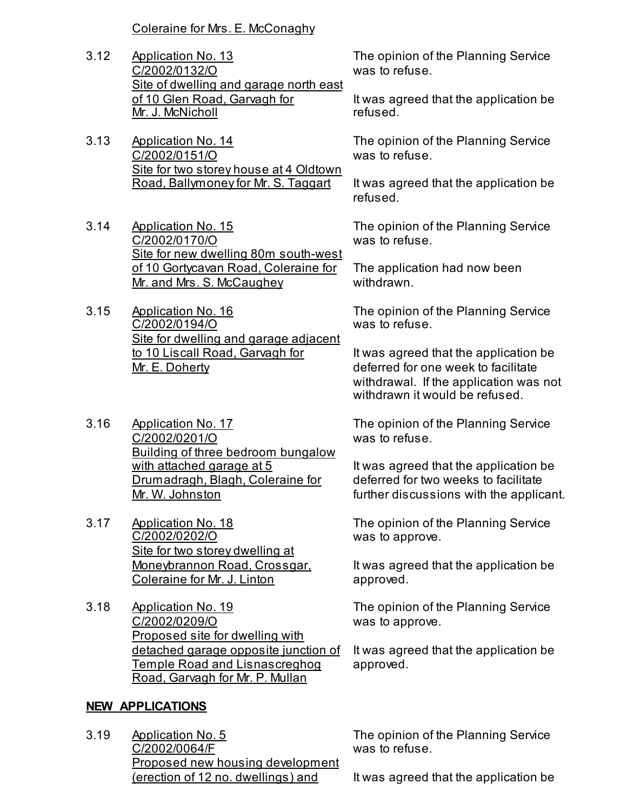Coleraine for Mrs. E. McConaghy

- 3.12 Application No. 13 C/2002/0132/O Site of dwelling and garage north east of 10 Glen Road, Garvagh for Mr. J. McNicholl
- 3.13 Application No. 14 C/2002/0151/O Site for two storey house at 4 Oldtown Road, Ballymoney for Mr. S. Taggart
- 3.14 Application No. 15 C/2002/0170/O Site for new dwelling 80m south-west of 10 Gortycavan Road, Coleraine for Mr. and Mrs. S. McCaughey
- 3.15 Application No. 16 C/2002/0194/O Site for dwelling and garage adjacent to 10 Liscall Road, Garvagh for Mr. E. Doherty
- 3.16 Application No. 17 C/2002/0201/O Building of three bedroom bungalow with attached garage at 5 Drumadragh, Blagh, Coleraine for Mr. W. Johnston
- 3.17 Application No. 18 C/2002/0202/O Site for two storey dwelling at Moneybrannon Road, Crossgar, Coleraine for Mr. J. Linton
- 3.18 Application No. 19 C/2002/0209/O Proposed site for dwelling with detached garage opposite junction of Temple Road and Lisnascreghog Road, Garvagh for Mr. P. Mullan

## **NEW APPLICATIONS**

3.19 Application No. 5 C/2002/0064/F Proposed new housing development (erection of 12 no. dwellings) and

The opinion of the Planning Service was to refuse.

It was agreed that the application be refused.

The opinion of the Planning Service was to refuse.

It was agreed that the application be refused.

The opinion of the Planning Service was to refuse.

The application had now been withdrawn.

The opinion of the Planning Service was to refuse.

It was agreed that the application be deferred for one week to facilitate withdrawal. If the application was not withdrawn it would be refused.

The opinion of the Planning Service was to refuse.

It was agreed that the application be deferred for two weeks to facilitate further discussions with the applicant.

The opinion of the Planning Service was to approve.

It was agreed that the application be approved.

The opinion of the Planning Service was to approve.

It was agreed that the application be approved.

The opinion of the Planning Service was to refuse.

It was agreed that the application be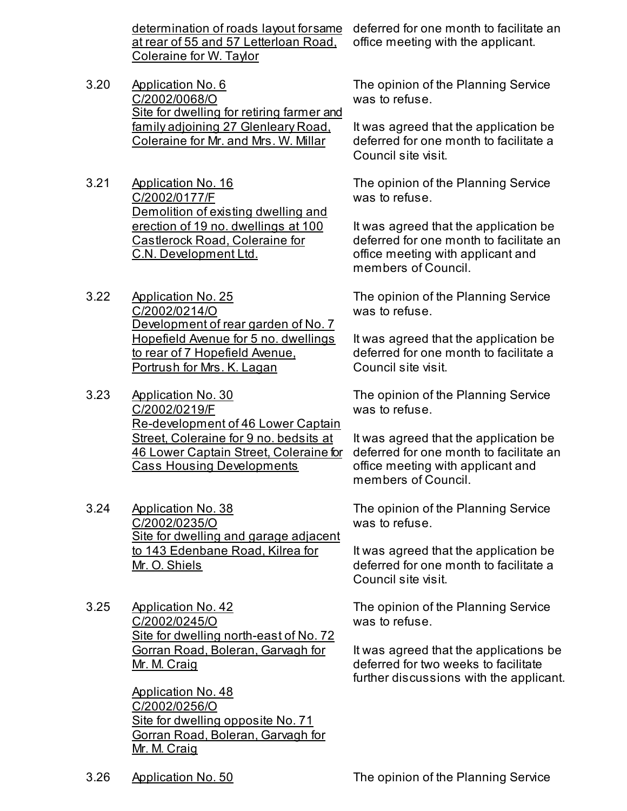determination of roads layout for same at rear of 55 and 57 Letterloan Road, Coleraine for W. Taylor

- 3.20 Application No. 6 C/2002/0068/O Site for dwelling for retiring farmer and family adjoining 27 Glenleary Road, Coleraine for Mr. and Mrs. W. Millar
- 3.21 Application No. 16 C/2002/0177/F Demolition of existing dwelling and erection of 19 no. dwellings at 100 Castlerock Road, Coleraine for C.N. Development Ltd.
- 3.22 Application No. 25 C/2002/0214/O Development of rear garden of No. 7 Hopefield Avenue for 5 no. dwellings to rear of 7 Hopefield Avenue, Portrush for Mrs. K. Lagan
- 3.23 Application No. 30 C/2002/0219/F Re-development of 46 Lower Captain Street, Coleraine for 9 no. bedsits at 46 Lower Captain Street, Coleraine for Cass Housing Developments
- 3.24 Application No. 38 C/2002/0235/O Site for dwelling and garage adjacent to 143 Edenbane Road, Kilrea for Mr. O. Shiels
- 3.25 Application No. 42 C/2002/0245/O Site for dwelling north-east of No. 72 Gorran Road, Boleran, Garvagh for Mr. M. Craig

Application No. 48 C/2002/0256/O Site for dwelling opposite No. 71 Gorran Road, Boleran, Garvagh for Mr. M. Craig

deferred for one month to facilitate an office meeting with the applicant.

The opinion of the Planning Service was to refuse.

It was agreed that the application be deferred for one month to facilitate a Council site visit.

The opinion of the Planning Service was to refuse.

It was agreed that the application be deferred for one month to facilitate an office meeting with applicant and members of Council.

The opinion of the Planning Service was to refuse.

It was agreed that the application be deferred for one month to facilitate a Council site visit.

The opinion of the Planning Service was to refuse.

It was agreed that the application be deferred for one month to facilitate an office meeting with applicant and members of Council.

The opinion of the Planning Service was to refuse.

It was agreed that the application be deferred for one month to facilitate a Council site visit.

The opinion of the Planning Service was to refuse.

It was agreed that the applications be deferred for two weeks to facilitate further discussions with the applicant.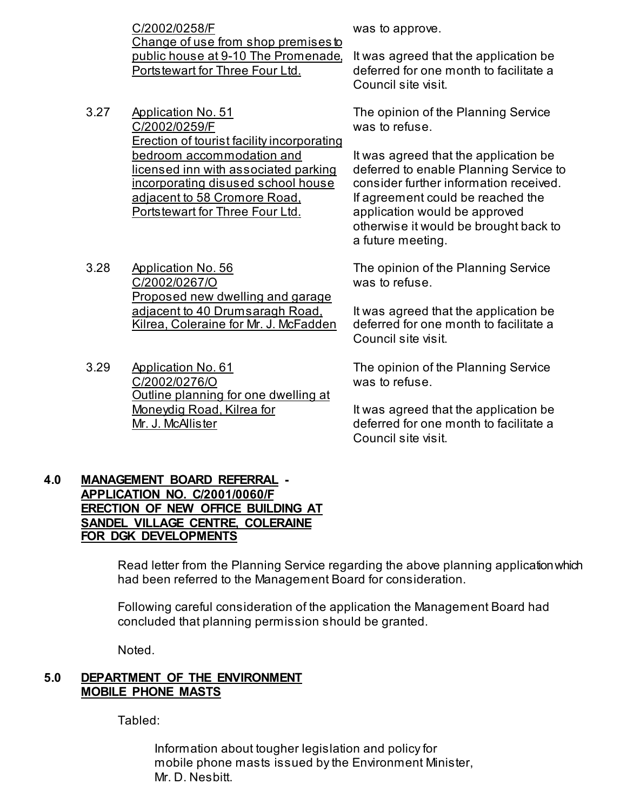C/2002/0258/F Change of use from shop premises to public house at 9-10 The Promenade, Portstewart for Three Four Ltd.

- 3.27 Application No. 51 C/2002/0259/F Erection of tourist facility incorporating bedroom accommodation and licensed inn with associated parking incorporating disused school house adjacent to 58 Cromore Road, Portstewart for Three Four Ltd.
- 3.28 Application No. 56 C/2002/0267/O Proposed new dwelling and garage adjacent to 40 Drumsaragh Road, Kilrea, Coleraine for Mr. J. McFadden
- 3.29 Application No. 61 C/2002/0276/O Outline planning for one dwelling at Moneydig Road, Kilrea for Mr. J. McAllister

was to approve.

It was agreed that the application be deferred for one month to facilitate a Council site visit.

The opinion of the Planning Service was to refuse.

It was agreed that the application be deferred to enable Planning Service to consider further information received. If agreement could be reached the application would be approved otherwise it would be brought back to a future meeting.

The opinion of the Planning Service was to refuse.

It was agreed that the application be deferred for one month to facilitate a Council site visit.

The opinion of the Planning Service was to refuse.

It was agreed that the application be deferred for one month to facilitate a Council site visit.

## **4.0 MANAGEMENT BOARD REFERRAL - APPLICATION NO. C/2001/0060/F ERECTION OF NEW OFFICE BUILDING AT SANDEL VILLAGE CENTRE, COLERAINE FOR DGK DEVELOPMENTS**

 Read letter from the Planning Service regarding the above planning application which had been referred to the Management Board for consideration.

 Following careful consideration of the application the Management Board had concluded that planning permission should be granted.

Noted.

## **5.0 DEPARTMENT OF THE ENVIRONMENT MOBILE PHONE MASTS**

Tabled:

 Information about tougher legislation and policy for mobile phone masts issued by the Environment Minister, Mr. D. Nesbitt.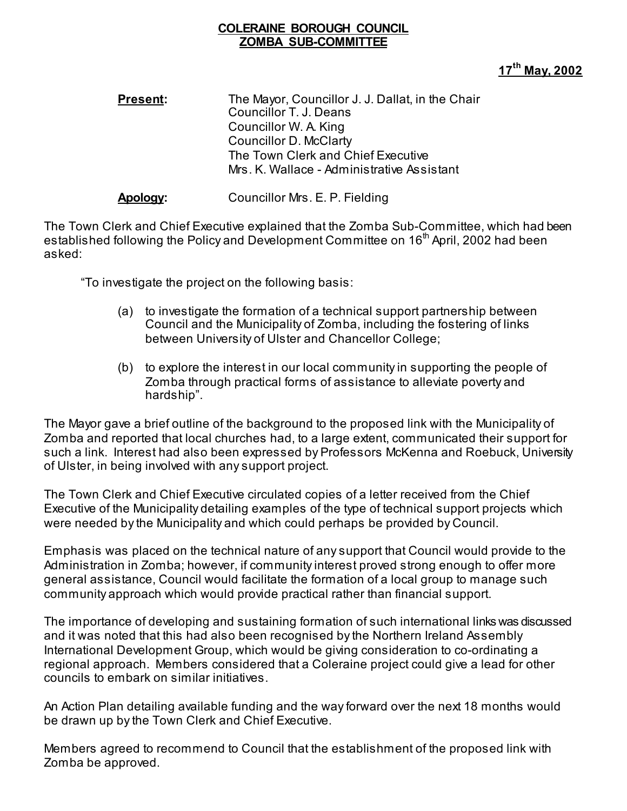## **COLERAINE BOROUGH COUNCIL ZOMBA SUB-COMMITTEE**

## **17th May, 2002**

**Present:** The Mayor, Councillor J. J. Dallat, in the Chair Councillor T. J. Deans Councillor W. A. King Councillor D. McClarty The Town Clerk and Chief Executive Mrs. K. Wallace - Administrative Assistant

**Apology:** Councillor Mrs. E. P. Fielding

The Town Clerk and Chief Executive explained that the Zomba Sub-Committee, which had been established following the Policy and Development Committee on 16<sup>th</sup> April, 2002 had been asked:

"To investigate the project on the following basis:

- (a) to investigate the formation of a technical support partnership between Council and the Municipality of Zomba, including the fostering of links between University of Ulster and Chancellor College;
- (b) to explore the interest in our local community in supporting the people of Zomba through practical forms of assistance to alleviate poverty and hardship".

The Mayor gave a brief outline of the background to the proposed link with the Municipality of Zomba and reported that local churches had, to a large extent, communicated their support for such a link. Interest had also been expressed by Professors McKenna and Roebuck, University of Ulster, in being involved with any support project.

The Town Clerk and Chief Executive circulated copies of a letter received from the Chief Executive of the Municipality detailing examples of the type of technical support projects which were needed by the Municipality and which could perhaps be provided by Council.

Emphasis was placed on the technical nature of any support that Council would provide to the Administration in Zomba; however, if community interest proved strong enough to offer more general assistance, Council would facilitate the formation of a local group to manage such community approach which would provide practical rather than financial support.

The importance of developing and sustaining formation of such international links was discussed and it was noted that this had also been recognised by the Northern Ireland Assembly International Development Group, which would be giving consideration to co-ordinating a regional approach. Members considered that a Coleraine project could give a lead for other councils to embark on similar initiatives.

An Action Plan detailing available funding and the way forward over the next 18 months would be drawn up by the Town Clerk and Chief Executive.

Members agreed to recommend to Council that the establishment of the proposed link with Zomba be approved.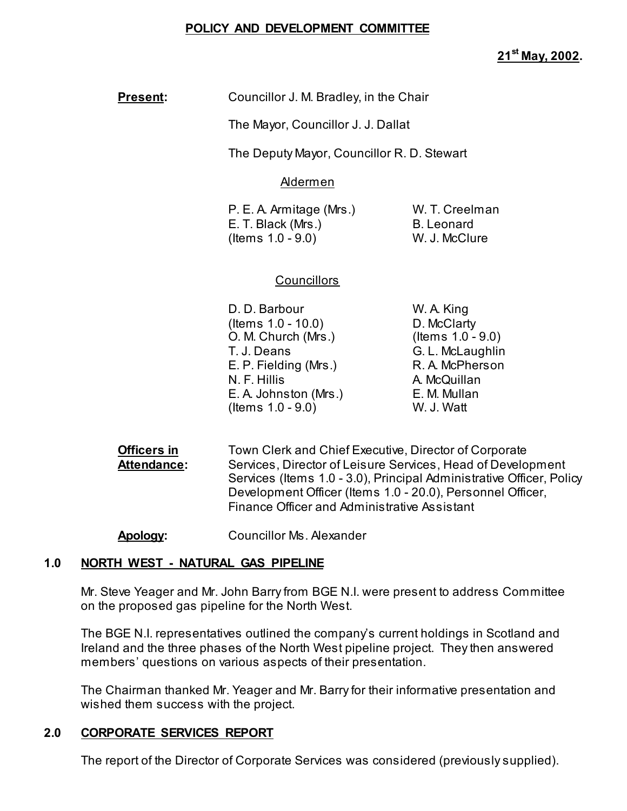## **POLICY AND DEVELOPMENT COMMITTEE**

**Present:** Councillor J. M. Bradley, in the Chair

The Mayor, Councillor J. J. Dallat

The Deputy Mayor, Councillor R. D. Stewart

Aldermen

| P. E. A. Armitage (Mrs.) | W. T. Creelman    |
|--------------------------|-------------------|
| E. T. Black (Mrs.)       | <b>B.</b> Leonard |
| (Items $1.0 - 9.0$ )     | W. J. McClure     |

## **Councillors**

- D. D. Barbour W. A. King (Items 1.0 - 10.0) D. McClarty O. M. Church (Mrs.) (Items 1.0 - 9.0) T. J. Deans G. L. McLaughlin E. P. Fielding (Mrs.) R. A. McPherson N. F. Hillis **A. McQuillan** E. A. Johnston (Mrs.) E. M. Mullan (Items 1.0 - 9.0) W. J. Watt
- **Officers in** Town Clerk and Chief Executive, Director of Corporate Attendance: Services, Director of Leisure Services, Head of Development Services (Items 1.0 - 3.0), Principal Administrative Officer, Policy Development Officer (Items 1.0 - 20.0), Personnel Officer, Finance Officer and Administrative Assistant

**Apology:** Councillor Ms. Alexander

## **1.0 NORTH WEST - NATURAL GAS PIPELINE**

Mr. Steve Yeager and Mr. John Barry from BGE N.I. were present to address Committee on the proposed gas pipeline for the North West.

The BGE N.I. representatives outlined the company's current holdings in Scotland and Ireland and the three phases of the North West pipeline project. They then answered members' questions on various aspects of their presentation.

The Chairman thanked Mr. Yeager and Mr. Barry for their informative presentation and wished them success with the project.

## **2.0 CORPORATE SERVICES REPORT**

The report of the Director of Corporate Services was considered (previously supplied).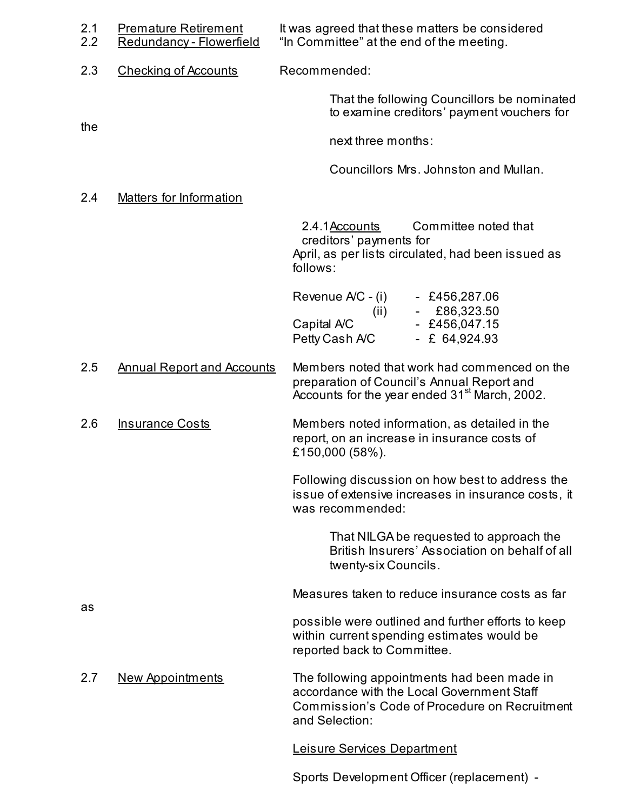| 2.1<br>2.2 | <b>Premature Retirement</b><br>Redundancy - Flowerfield | It was agreed that these matters be considered<br>"In Committee" at the end of the meeting.                                                                  |
|------------|---------------------------------------------------------|--------------------------------------------------------------------------------------------------------------------------------------------------------------|
| 2.3        | <b>Checking of Accounts</b>                             | Recommended:                                                                                                                                                 |
| the        |                                                         | That the following Councillors be nominated<br>to examine creditors' payment vouchers for                                                                    |
|            |                                                         | next three months:                                                                                                                                           |
|            |                                                         | Councillors Mrs. Johnston and Mullan.                                                                                                                        |
| 2.4        | <b>Matters for Information</b>                          |                                                                                                                                                              |
|            |                                                         | 2.4.1 Accounts<br>Committee noted that<br>creditors' payments for<br>April, as per lists circulated, had been issued as<br>follows:                          |
|            |                                                         | Revenue A/C - (i)<br>$-$ £456,287.06<br>£86,323.50<br>(ii)<br>Capital A/C<br>$-$ £456,047.15<br>Petty Cash A/C<br>$- E 64,924.93$                            |
| 2.5        | <b>Annual Report and Accounts</b>                       | Members noted that work had commenced on the<br>preparation of Council's Annual Report and<br>Accounts for the year ended 31 <sup>st</sup> March, 2002.      |
| 2.6        | <b>Insurance Costs</b>                                  | Members noted information, as detailed in the<br>report, on an increase in insurance costs of<br>£150,000 (58%).                                             |
|            |                                                         | Following discussion on how best to address the<br>issue of extensive increases in insurance costs, it<br>was recommended:                                   |
|            |                                                         | That NILGA be requested to approach the<br>British Insurers' Association on behalf of all<br>twenty-six Councils.                                            |
|            |                                                         | Measures taken to reduce insurance costs as far                                                                                                              |
| as         |                                                         | possible were outlined and further efforts to keep<br>within current spending estimates would be<br>reported back to Committee.                              |
| 2.7        | <b>New Appointments</b>                                 | The following appointments had been made in<br>accordance with the Local Government Staff<br>Commission's Code of Procedure on Recruitment<br>and Selection: |
|            |                                                         | Leisure Services Department                                                                                                                                  |

Sports Development Officer (replacement) -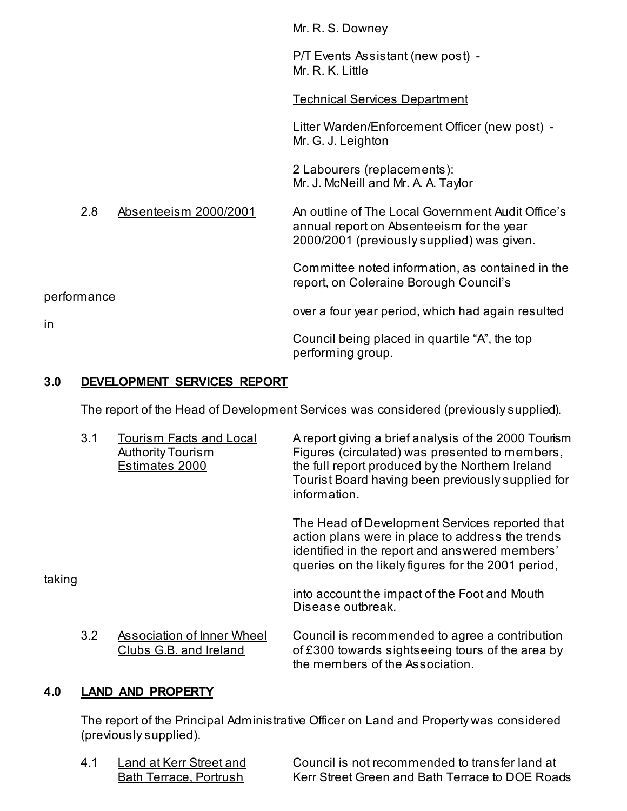|             |     |                       | Mr. R. S. Downey                                                                                                                             |
|-------------|-----|-----------------------|----------------------------------------------------------------------------------------------------------------------------------------------|
|             |     |                       | P/T Events Assistant (new post) -<br>Mr. R. K. Little                                                                                        |
|             |     |                       | <b>Technical Services Department</b>                                                                                                         |
|             |     |                       | Litter Warden/Enforcement Officer (new post) -<br>Mr. G. J. Leighton                                                                         |
|             |     |                       | 2 Labourers (replacements):<br>Mr. J. McNeill and Mr. A. A. Taylor                                                                           |
|             | 2.8 | Absenteeism 2000/2001 | An outline of The Local Government Audit Office's<br>annual report on Absenteeism for the year<br>2000/2001 (previously supplied) was given. |
|             |     |                       | Committee noted information, as contained in the<br>report, on Coleraine Borough Council's                                                   |
| performance |     |                       | over a four year period, which had again resulted                                                                                            |
| in          |     |                       | Council being placed in quartile "A", the top<br>performing group.                                                                           |

## **3.0 DEVELOPMENT SERVICES REPORT**

The report of the Head of Development Services was considered (previously supplied).

|        | 3.1 | <b>Tourism Facts and Local</b><br><b>Authority Tourism</b><br>Estimates 2000 | A report giving a brief analysis of the 2000 Tourism<br>Figures (circulated) was presented to members,<br>the full report produced by the Northern Ireland<br>Tourist Board having been previously supplied for<br>information. |
|--------|-----|------------------------------------------------------------------------------|---------------------------------------------------------------------------------------------------------------------------------------------------------------------------------------------------------------------------------|
| taking |     |                                                                              | The Head of Development Services reported that<br>action plans were in place to address the trends<br>identified in the report and answered members'<br>queries on the likely figures for the 2001 period,                      |
|        |     |                                                                              | into account the impact of the Foot and Mouth<br>Disease outbreak.                                                                                                                                                              |
|        | 3.2 | Association of Inner Wheel<br>Clubs G.B. and Ireland                         | Council is recommended to agree a contribution<br>of £300 towards sightseeing tours of the area by<br>the members of the Association.                                                                                           |

## **4.0 LAND AND PROPERTY**

 The report of the Principal Administrative Officer on Land and Property was considered (previously supplied).

4.1 Land at Kerr Street and Council is not recommended to transfer land at<br>Bath Terrace, Portrush Kerr Street Green and Bath Terrace to DOE Roa Kerr Street Green and Bath Terrace to DOE Roads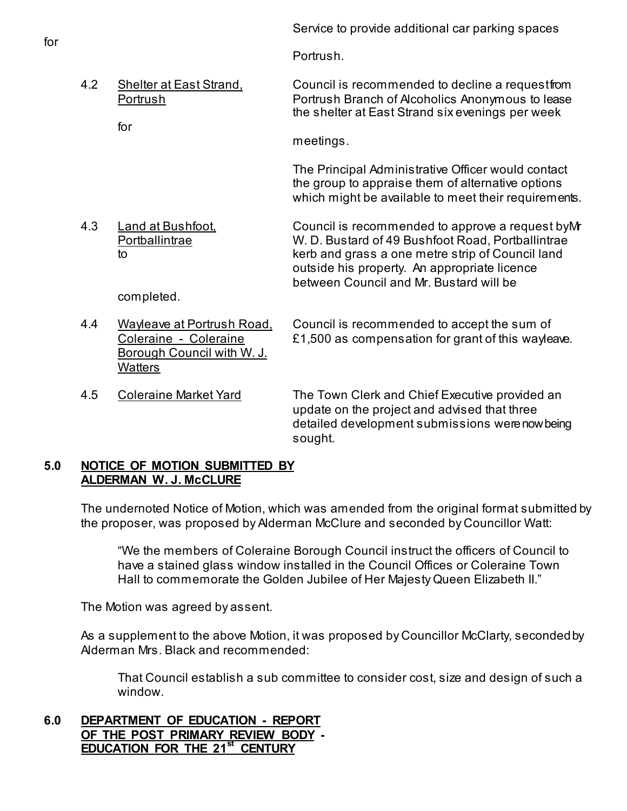Portrush.

4.2 Shelter at East Strand, Council is recommended to decline a request from Portrush Portrush Branch of Alcoholics Anonymous to lease the shelter at East Strand six evenings per week for

meetings.

 The Principal Administrative Officer would contact the group to appraise them of alternative options which might be available to meet their requirements.

4.3 Land at Bushfoot, Council is recommended to approve a request by Mr Portballintrae W. D. Bustard of 49 Bushfoot Road, Portballintrae to kerb and grass a one metre strip of Council land outside his property. An appropriate licence between Council and Mr. Bustard will be

completed.

Borough Council with W. J. **Watters** 

4.4 Wayleave at Portrush Road, Council is recommended to accept the sum of Coleraine - Coleraine E1,500 as compensation for grant of this wayleave.

4.5 Coleraine Market Yard The Town Clerk and Chief Executive provided an update on the project and advised that three detailed development submissions were now being sought.

## **5.0 NOTICE OF MOTION SUBMITTED BY ALDERMAN W. J. McCLURE**

 The undernoted Notice of Motion, which was amended from the original format submitted by the proposer, was proposed by Alderman McClure and seconded by Councillor Watt:

 "We the members of Coleraine Borough Council instruct the officers of Council to have a stained glass window installed in the Council Offices or Coleraine Town Hall to commemorate the Golden Jubilee of Her Majesty Queen Elizabeth II."

The Motion was agreed by assent.

As a supplement to the above Motion, it was proposed by Councillor McClarty, seconded by Alderman Mrs. Black and recommended:

That Council establish a sub committee to consider cost, size and design of such a window.

**6.0 DEPARTMENT OF EDUCATION - REPORT OF THE POST PRIMARY REVIEW BODY - EDUCATION FOR THE 21st CENTURY**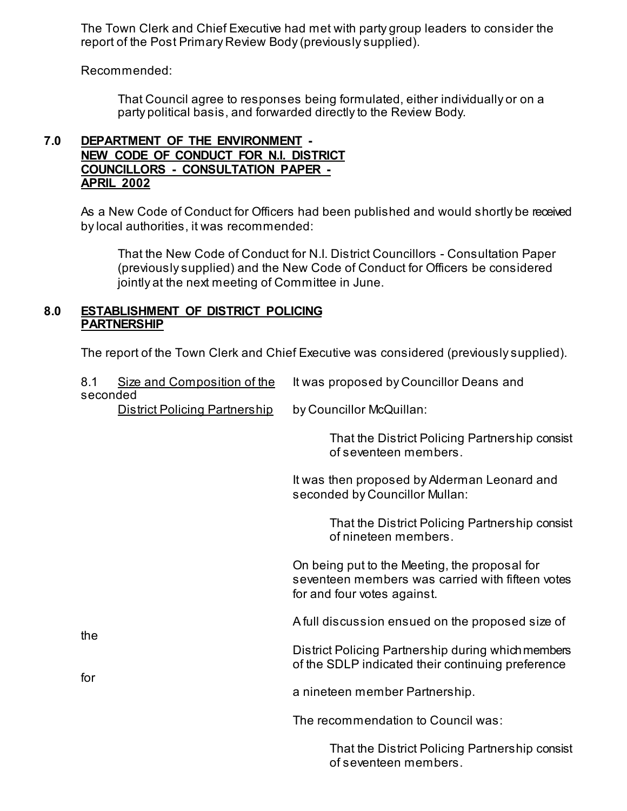The Town Clerk and Chief Executive had met with party group leaders to consider the report of the Post Primary Review Body (previously supplied).

Recommended:

 That Council agree to responses being formulated, either individually or on a party political basis, and forwarded directly to the Review Body.

## **7.0 DEPARTMENT OF THE ENVIRONMENT - NEW CODE OF CONDUCT FOR N.I. DISTRICT COUNCILLORS - CONSULTATION PAPER - APRIL 2002**

 As a New Code of Conduct for Officers had been published and would shortly be received by local authorities, it was recommended:

 That the New Code of Conduct for N.I. District Councillors - Consultation Paper (previously supplied) and the New Code of Conduct for Officers be considered jointly at the next meeting of Committee in June.

#### **8.0 ESTABLISHMENT OF DISTRICT POLICING PARTNERSHIP**

The report of the Town Clerk and Chief Executive was considered (previously supplied).

| 8.1<br>seconded | Size and Composition of the          | It was proposed by Councillor Deans and                                                                                          |
|-----------------|--------------------------------------|----------------------------------------------------------------------------------------------------------------------------------|
|                 | <b>District Policing Partnership</b> | by Councillor McQuillan:                                                                                                         |
|                 |                                      | That the District Policing Partnership consist<br>of seventeen members.                                                          |
|                 |                                      | It was then proposed by Alderman Leonard and<br>seconded by Councillor Mullan:                                                   |
|                 |                                      | That the District Policing Partnership consist<br>of nineteen members.                                                           |
|                 |                                      | On being put to the Meeting, the proposal for<br>seventeen members was carried with fifteen votes<br>for and four votes against. |
|                 |                                      | A full discussion ensued on the proposed size of                                                                                 |
| the<br>for      |                                      | District Policing Partnership during which members<br>of the SDLP indicated their continuing preference                          |
|                 |                                      | a nineteen member Partnership.                                                                                                   |
|                 |                                      | The recommendation to Council was:                                                                                               |
|                 |                                      | That the District Policing Partnership consist<br>of seventeen members.                                                          |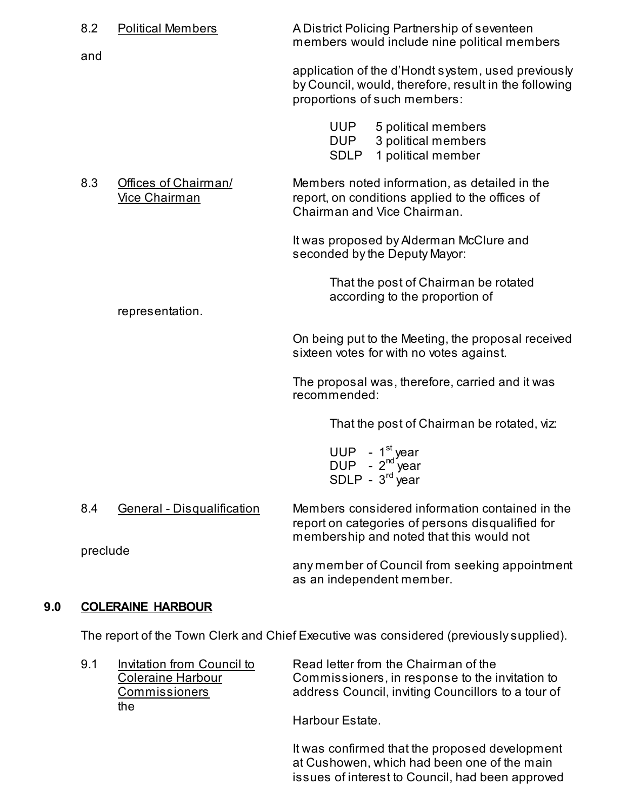| 8.2      | <b>Political Members</b>                     | A District Policing Partnership of seventeen<br>members would include nine political members                                                    |
|----------|----------------------------------------------|-------------------------------------------------------------------------------------------------------------------------------------------------|
| and      |                                              | application of the d'Hondt system, used previously<br>by Council, would, therefore, result in the following<br>proportions of such members:     |
|          |                                              | 5 political members<br>UUP<br>3 political members<br>DUP<br><b>SDLP</b><br>1 political member                                                   |
| 8.3      | Offices of Chairman/<br><b>Vice Chairman</b> | Members noted information, as detailed in the<br>report, on conditions applied to the offices of<br>Chairman and Vice Chairman.                 |
|          |                                              | It was proposed by Alderman McClure and<br>seconded by the Deputy Mayor:                                                                        |
|          | representation.                              | That the post of Chairman be rotated<br>according to the proportion of                                                                          |
|          |                                              | On being put to the Meeting, the proposal received<br>sixteen votes for with no votes against.                                                  |
|          |                                              | The proposal was, therefore, carried and it was<br>recommended:                                                                                 |
|          |                                              | That the post of Chairman be rotated, viz:                                                                                                      |
|          |                                              | UUP - $1^{\text{st}}$ year<br>DUP - $2^{\text{nd}}$ year<br>SDLP - $3^{rd}$ year                                                                |
| 8.4      | <b>General - Disqualification</b>            | Members considered information contained in the<br>report on categories of persons disqualified for<br>membership and noted that this would not |
| preclude |                                              | any member of Council from seeking appointment                                                                                                  |

## **9.0 COLERAINE HARBOUR**

The report of the Town Clerk and Chief Executive was considered (previously supplied).

as an independent member.

| 9.1 | Invitation from Council to | Read letter from the Chairman of the               |  |
|-----|----------------------------|----------------------------------------------------|--|
|     | <b>Coleraine Harbour</b>   | Commissioners, in response to the invitation to    |  |
|     | Commissioners              | address Council, inviting Councillors to a tour of |  |
|     | the.                       |                                                    |  |
|     |                            | .                                                  |  |

Harbour Estate.

 It was confirmed that the proposed development at Cushowen, which had been one of the main issues of interest to Council, had been approved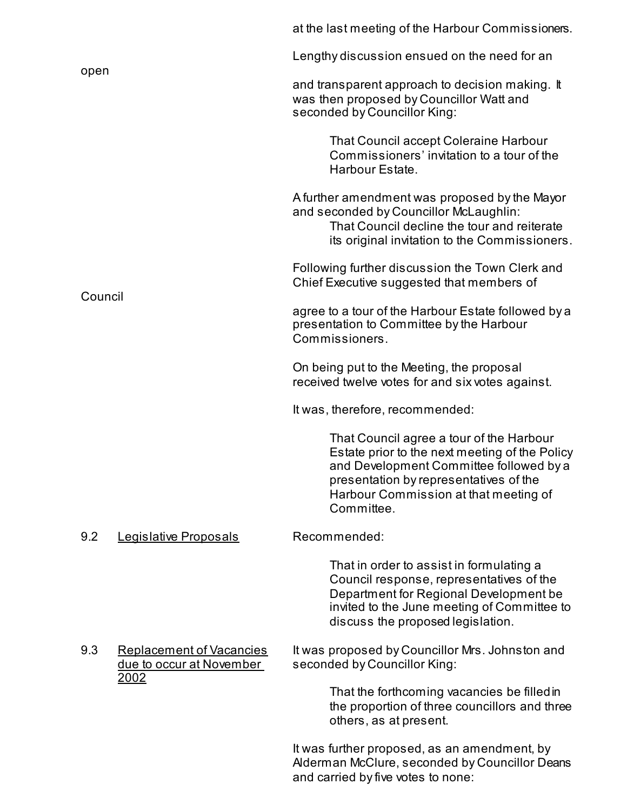|         |                                                                             | at the last meeting of the Harbour Commissioners.                                                                                                                                                                                      |
|---------|-----------------------------------------------------------------------------|----------------------------------------------------------------------------------------------------------------------------------------------------------------------------------------------------------------------------------------|
|         |                                                                             | Lengthy discussion ensued on the need for an                                                                                                                                                                                           |
| open    |                                                                             | and transparent approach to decision making. It<br>was then proposed by Councillor Watt and<br>seconded by Councillor King:                                                                                                            |
|         |                                                                             | <b>That Council accept Coleraine Harbour</b><br>Commissioners' invitation to a tour of the<br>Harbour Estate.                                                                                                                          |
|         |                                                                             | A further amendment was proposed by the Mayor<br>and seconded by Councillor McLaughlin:<br>That Council decline the tour and reiterate<br>its original invitation to the Commissioners.                                                |
| Council |                                                                             | Following further discussion the Town Clerk and<br>Chief Executive suggested that members of                                                                                                                                           |
|         |                                                                             | agree to a tour of the Harbour Estate followed by a<br>presentation to Committee by the Harbour<br>Commissioners.                                                                                                                      |
|         |                                                                             | On being put to the Meeting, the proposal<br>received twelve votes for and six votes against.                                                                                                                                          |
|         |                                                                             | It was, therefore, recommended:                                                                                                                                                                                                        |
|         |                                                                             | That Council agree a tour of the Harbour<br>Estate prior to the next meeting of the Policy<br>and Development Committee followed by a<br>presentation by representatives of the<br>Harbour Commission at that meeting of<br>Committee. |
| 9.2     | Legislative Proposals                                                       | Recommended:                                                                                                                                                                                                                           |
|         |                                                                             | That in order to assist in formulating a<br>Council response, representatives of the<br>Department for Regional Development be<br>invited to the June meeting of Committee to<br>discuss the proposed legislation.                     |
| 9.3     | <b>Replacement of Vacancies</b><br>due to occur at November<br><u> 2002</u> | It was proposed by Councillor Mrs. Johnston and<br>seconded by Councillor King:                                                                                                                                                        |
|         |                                                                             | That the forthcoming vacancies be filled in<br>the proportion of three councillors and three<br>others, as at present.                                                                                                                 |
|         |                                                                             | It was further proposed, as an amendment, by<br>Alderman McClure, seconded by Councillor Deans                                                                                                                                         |

and carried by five votes to none: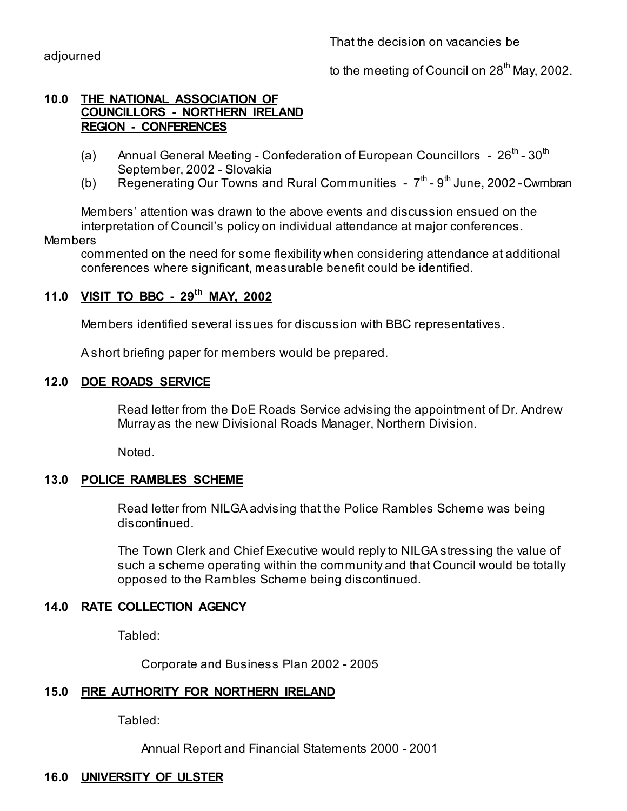That the decision on vacancies be

to the meeting of Council on  $28<sup>th</sup>$  May, 2002.

## **10.0 THE NATIONAL ASSOCIATION OF COUNCILLORS - NORTHERN IRELAND REGION - CONFERENCES**

- (a) Annual General Meeting Confederation of European Councillors  $26^{th}$   $30^{th}$ September, 2002 - Slovakia
- (b) Regenerating Our Towns and Rural Communities  $7<sup>th</sup>$   $9<sup>th</sup>$  June, 2002 Cwmbran

 Members' attention was drawn to the above events and discussion ensued on the interpretation of Council's policy on individual attendance at major conferences.

## Members

 commented on the need for some flexibility when considering attendance at additional conferences where significant, measurable benefit could be identified.

## **11.0 VISIT TO BBC - 29th MAY, 2002**

Members identified several issues for discussion with BBC representatives.

A short briefing paper for members would be prepared.

## **12.0 DOE ROADS SERVICE**

 Read letter from the DoE Roads Service advising the appointment of Dr. Andrew Murray as the new Divisional Roads Manager, Northern Division.

Noted.

## **13.0 POLICE RAMBLES SCHEME**

Read letter from NILGA advising that the Police Rambles Scheme was being discontinued.

 The Town Clerk and Chief Executive would reply to NILGA stressing the value of such a scheme operating within the community and that Council would be totally opposed to the Rambles Scheme being discontinued.

## **14.0 RATE COLLECTION AGENCY**

Tabled:

Corporate and Business Plan 2002 - 2005

## **15.0 FIRE AUTHORITY FOR NORTHERN IRELAND**

Tabled:

Annual Report and Financial Statements 2000 - 2001

## **16.0 UNIVERSITY OF ULSTER**